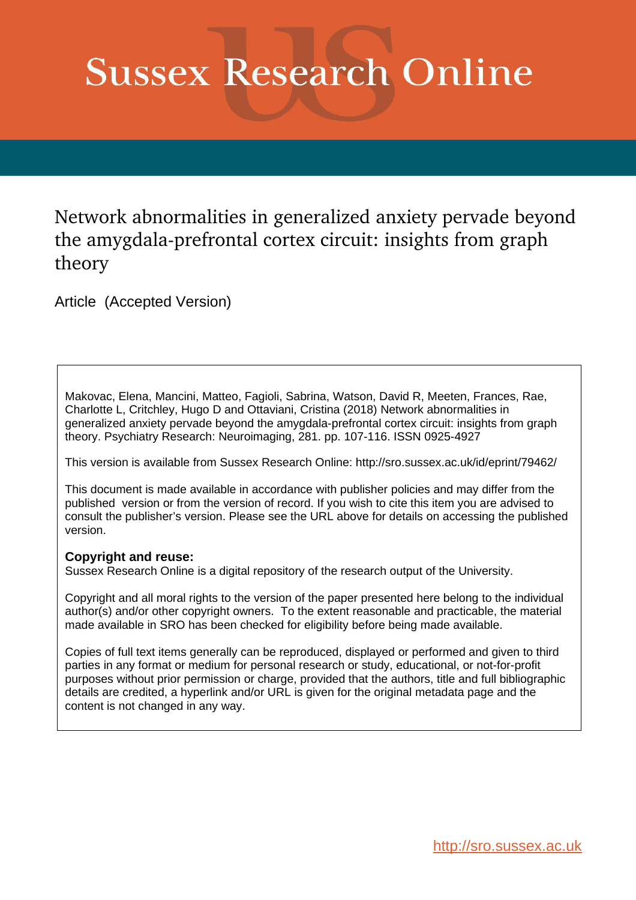# **Sussex Research Online**

Network abnormalities in generalized anxiety pervade beyond the amygdala-prefrontal cortex circuit: insights from graph theory

Article (Accepted Version)

Makovac, Elena, Mancini, Matteo, Fagioli, Sabrina, Watson, David R, Meeten, Frances, Rae, Charlotte L, Critchley, Hugo D and Ottaviani, Cristina (2018) Network abnormalities in generalized anxiety pervade beyond the amygdala-prefrontal cortex circuit: insights from graph theory. Psychiatry Research: Neuroimaging, 281. pp. 107-116. ISSN 0925-4927

This version is available from Sussex Research Online: http://sro.sussex.ac.uk/id/eprint/79462/

This document is made available in accordance with publisher policies and may differ from the published version or from the version of record. If you wish to cite this item you are advised to consult the publisher's version. Please see the URL above for details on accessing the published version.

# **Copyright and reuse:**

Sussex Research Online is a digital repository of the research output of the University.

Copyright and all moral rights to the version of the paper presented here belong to the individual author(s) and/or other copyright owners. To the extent reasonable and practicable, the material made available in SRO has been checked for eligibility before being made available.

Copies of full text items generally can be reproduced, displayed or performed and given to third parties in any format or medium for personal research or study, educational, or not-for-profit purposes without prior permission or charge, provided that the authors, title and full bibliographic details are credited, a hyperlink and/or URL is given for the original metadata page and the content is not changed in any way.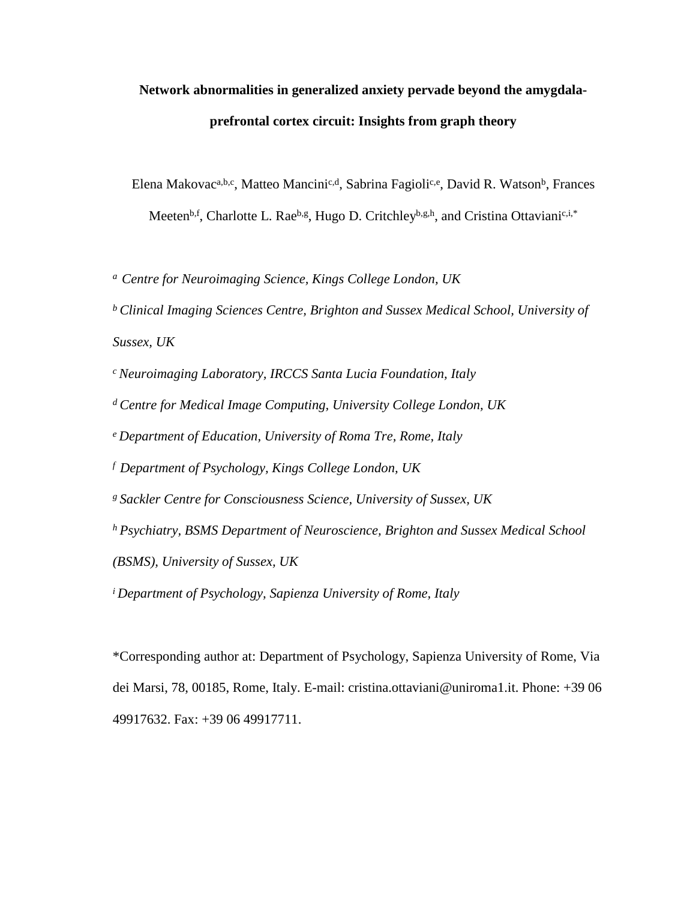# **Network abnormalities in generalized anxiety pervade beyond the amygdalaprefrontal cortex circuit: Insights from graph theory**

Elena Makovac<sup>a,b,c</sup>, Matteo Mancini<sup>c,d</sup>, Sabrina Fagioli<sup>c,e</sup>, David R. Watson<sup>b</sup>, Frances Meetenb,f, Charlotte L. Raeb,g, Hugo D. Critchleyb,g,h, and Cristina Ottavianic,i,\*

*a Centre for Neuroimaging Science, Kings College London, UK*

*b Clinical Imaging Sciences Centre, Brighton and Sussex Medical School, University of Sussex, UK*

*c Neuroimaging Laboratory, IRCCS Santa Lucia Foundation, Italy*

*d Centre for Medical Image Computing, University College London, UK*

*e Department of Education, University of Roma Tre, Rome, Italy*

*f Department of Psychology, Kings College London, UK*

*g Sackler Centre for Consciousness Science, University of Sussex, UK*

*h Psychiatry, BSMS Department of Neuroscience, Brighton and Sussex Medical School* 

*(BSMS), University of Sussex, UK*

*i Department of Psychology, Sapienza University of Rome, Italy*

\*Corresponding author at: Department of Psychology, Sapienza University of Rome, Via dei Marsi, 78, 00185, Rome, Italy. E-m[ail: cristina.ottaviani@uniroma1.it.](mailto:cristina.ottaviani@uniroma1.it) Phone: +39 06 49917632. Fax: +39 06 49917711.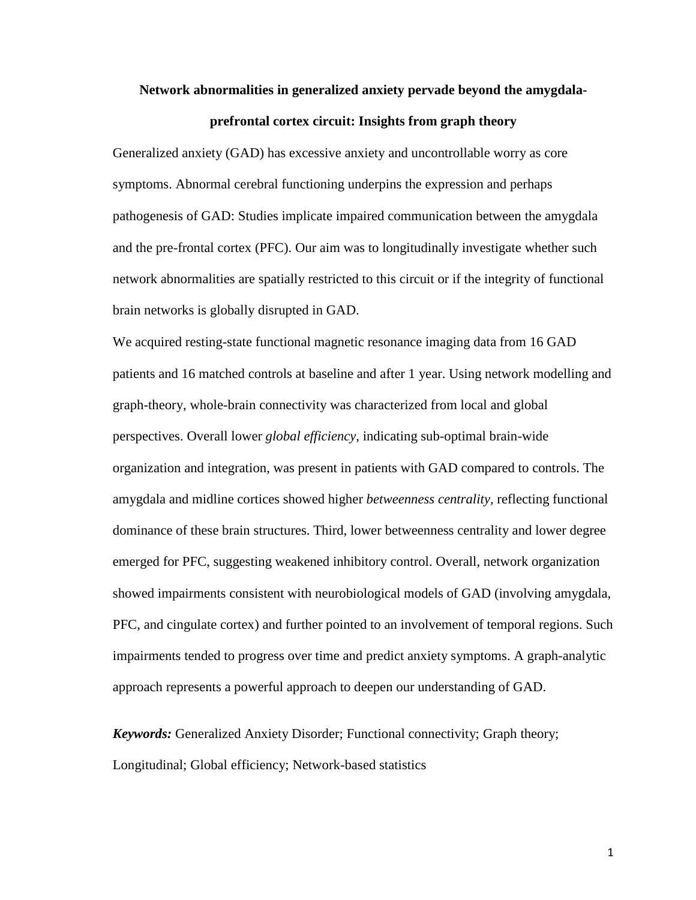# **Network abnormalities in generalized anxiety pervade beyond the amygdalaprefrontal cortex circuit: Insights from graph theory**

Generalized anxiety (GAD) has excessive anxiety and uncontrollable worry as core symptoms. Abnormal cerebral functioning underpins the expression and perhaps pathogenesis of GAD: Studies implicate impaired communication between the amygdala and the pre-frontal cortex (PFC). Our aim was to longitudinally investigate whether such network abnormalities are spatially restricted to this circuit or if the integrity of functional brain networks is globally disrupted in GAD.

We acquired resting-state functional magnetic resonance imaging data from 16 GAD patients and 16 matched controls at baseline and after 1 year. Using network modelling and graph-theory, whole-brain connectivity was characterized from local and global perspectives. Overall lower *global efficiency*, indicating sub-optimal brain-wide organization and integration, was present in patients with GAD compared to controls. The amygdala and midline cortices showed higher *betweenness centrality,* reflecting functional dominance of these brain structures. Third, lower betweenness centrality and lower degree emerged for PFC, suggesting weakened inhibitory control. Overall, network organization showed impairments consistent with neurobiological models of GAD (involving amygdala, PFC, and cingulate cortex) and further pointed to an involvement of temporal regions. Such impairments tended to progress over time and predict anxiety symptoms. A graph-analytic approach represents a powerful approach to deepen our understanding of GAD.

*Keywords:* Generalized Anxiety Disorder; Functional connectivity; Graph theory; Longitudinal; Global efficiency; Network-based statistics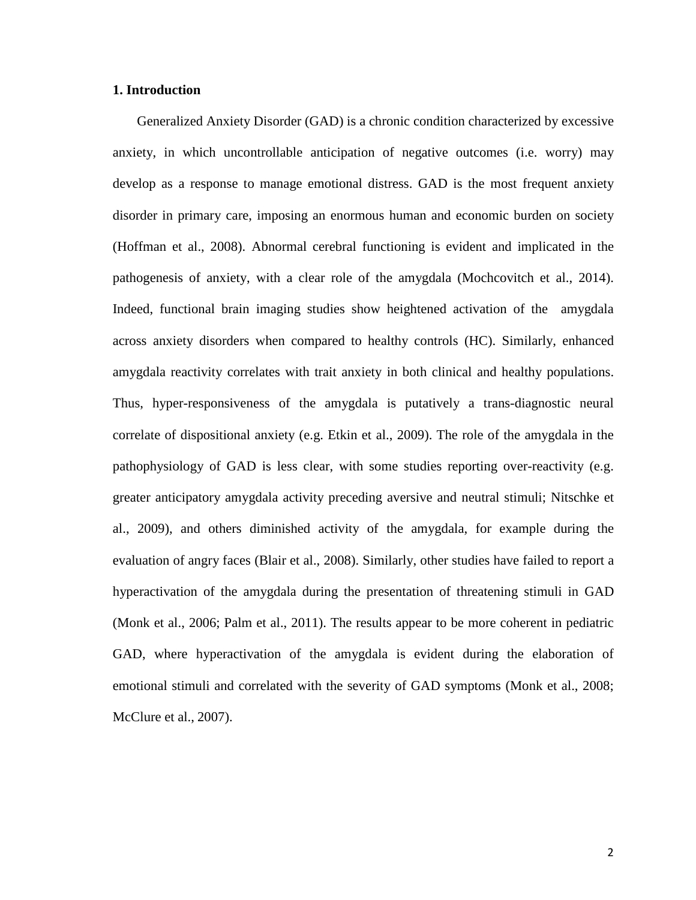#### **1. Introduction**

Generalized Anxiety Disorder (GAD) is a chronic condition characterized by excessive anxiety, in which uncontrollable anticipation of negative outcomes (i.e. worry) may develop as a response to manage emotional distress. GAD is the most frequent anxiety disorder in primary care, imposing an enormous human and economic burden on society (Hoffman et al., 2008). Abnormal cerebral functioning is evident and implicated in the pathogenesis of anxiety, with a clear role of the amygdala (Mochcovitch et al., 2014). Indeed, functional brain imaging studies show heightened activation of the amygdala across anxiety disorders when compared to healthy controls (HC). Similarly, enhanced amygdala reactivity correlates with trait anxiety in both clinical and healthy populations. Thus, hyper-responsiveness of the amygdala is putatively a trans-diagnostic neural correlate of dispositional anxiety (e.g. Etkin et al., 2009). The role of the amygdala in the pathophysiology of GAD is less clear, with some studies reporting over-reactivity (e.g. greater anticipatory amygdala activity preceding aversive and neutral stimuli; Nitschke et al., 2009), and others diminished activity of the amygdala, for example during the evaluation of angry faces [\(Blair et al., 2008\). S](https://www.sciencedirect.com/science/article/pii/S2213158213000326#bb0105)imilarly, other studies have failed to report a hyperactivation of the amygdala during the presentation of threatening stimuli in GAD (Monk et al., 2006; Palm et al., 2011). The results appear to be more coherent in pediatric GAD, where hyperactivation of the amygdala is evident during the elaboration of emotional stimuli and correlated with the severity of GAD symptoms (Monk et al., 2008; McClure et al., 2007).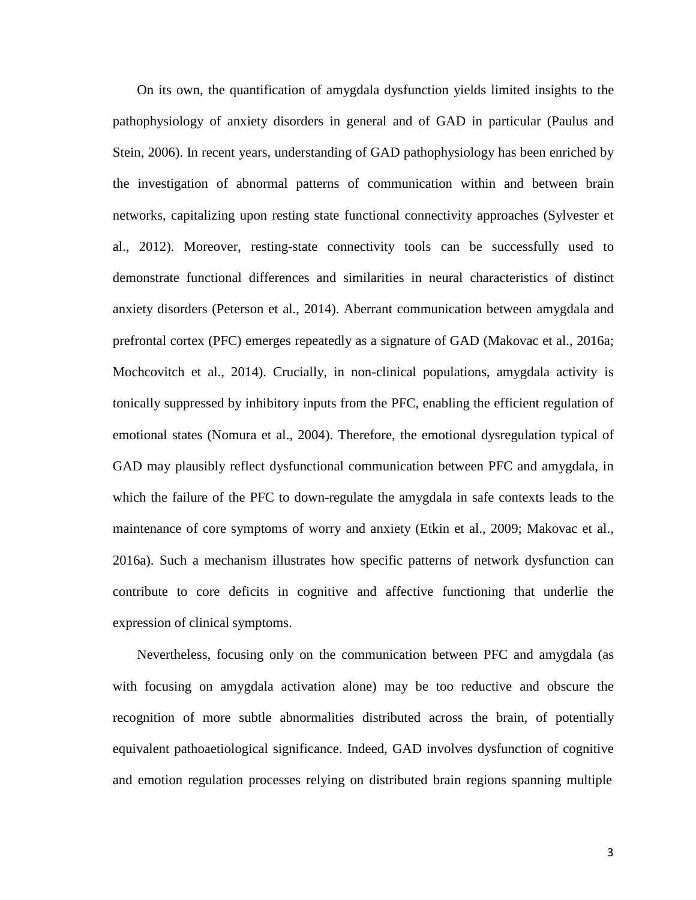On its own, the quantification of amygdala dysfunction yields limited insights to the pathophysiology of anxiety disorders in general and of GAD in particular (Paulus and Stein, 2006). In recent years, understanding of GAD pathophysiology has been enriched by the investigation of abnormal patterns of communication within and between brain networks, capitalizing upon resting state functional connectivity approaches (Sylvester et al., 2012). Moreover, resting-state connectivity tools can be successfully used to demonstrate functional differences and similarities in neural characteristics of distinct anxiety disorders (Peterson et al., 2014). Aberrant communication between amygdala and prefrontal cortex (PFC) emerges repeatedly as a signature of GAD (Makovac et al., 2016a; Mochcovitch et al., 2014). Crucially, in non-clinical populations, amygdala activity is tonically suppressed by inhibitory inputs from the PFC, enabling the efficient regulation of emotional states (Nomura et al., 2004). Therefore, the emotional dysregulation typical of GAD may plausibly reflect dysfunctional communication between PFC and amygdala, in which the failure of the PFC to down-regulate the amygdala in safe contexts leads to the maintenance of core symptoms of worry and anxiety (Etkin et al., 2009; Makovac et al., 2016a). Such a mechanism illustrates how specific patterns of network dysfunction can contribute to core deficits in cognitive and affective functioning that underlie the expression of clinical symptoms.

Nevertheless, focusing only on the communication between PFC and amygdala (as with focusing on amygdala activation alone) may be too reductive and obscure the recognition of more subtle abnormalities distributed across the brain, of potentially equivalent pathoaetiological significance. Indeed, GAD involves dysfunction of cognitive and emotion regulation processes relying on distributed brain regions spanning multiple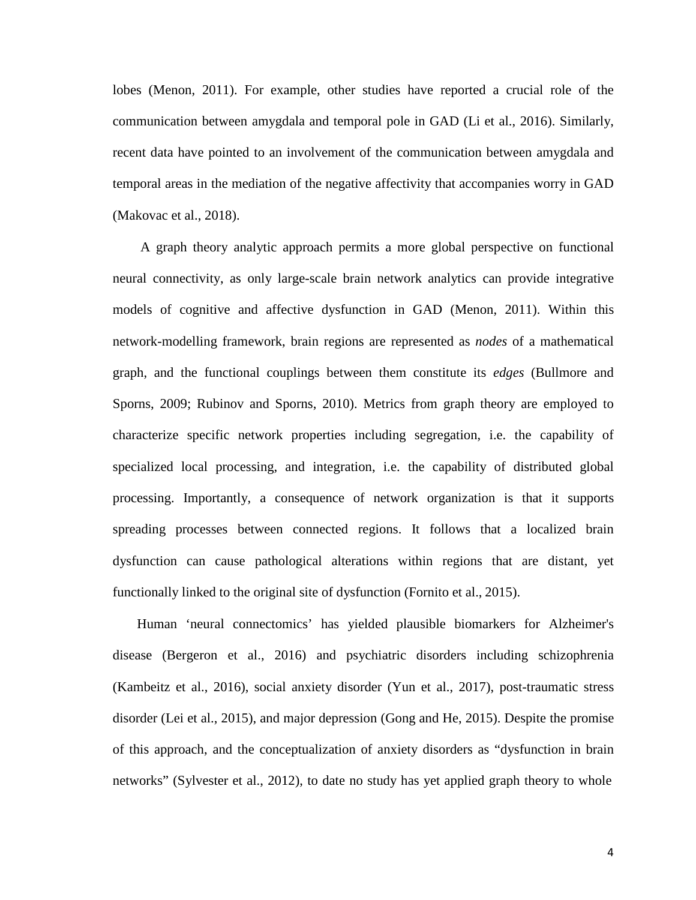lobes (Menon, 2011). For example, other studies have reported a crucial role of the communication between amygdala and temporal pole in GAD (Li et al., 2016). Similarly, recent data have pointed to an involvement of the communication between amygdala and temporal areas in the mediation of the negative affectivity that accompanies worry in GAD (Makovac et al., 2018).

A graph theory analytic approach permits a more global perspective on functional neural connectivity, as only large-scale brain network analytics can provide integrative models of cognitive and affective dysfunction in GAD (Menon, 2011). Within this network-modelling framework, brain regions are represented as *nodes* of a mathematical graph, and the functional couplings between them constitute its *edges* (Bullmore and Sporns, 2009; Rubinov and Sporns, 2010). Metrics from graph theory are employed to characterize specific network properties including segregation, i.e. the capability of specialized local processing, and integration, i.e. the capability of distributed global processing. Importantly, a consequence of network organization is that it supports spreading processes between connected regions. It follows that a localized brain dysfunction can cause pathological alterations within regions that are distant, yet functionally linked to the original site of dysfunction (Fornito et al., 2015).

Human 'neural connectomics' has yielded plausible biomarkers for Alzheimer's disease (Bergeron et al., 2016) and psychiatric disorders including schizophrenia (Kambeitz et al., 2016), social anxiety disorder (Yun et al., 2017), post-traumatic stress disorder (Lei et al., 2015), and major depression (Gong and He, 2015). Despite the promise of this approach, and the conceptualization of anxiety disorders as "dysfunction in brain networks" (Sylvester et al., 2012), to date no study has yet applied graph theory to whole

4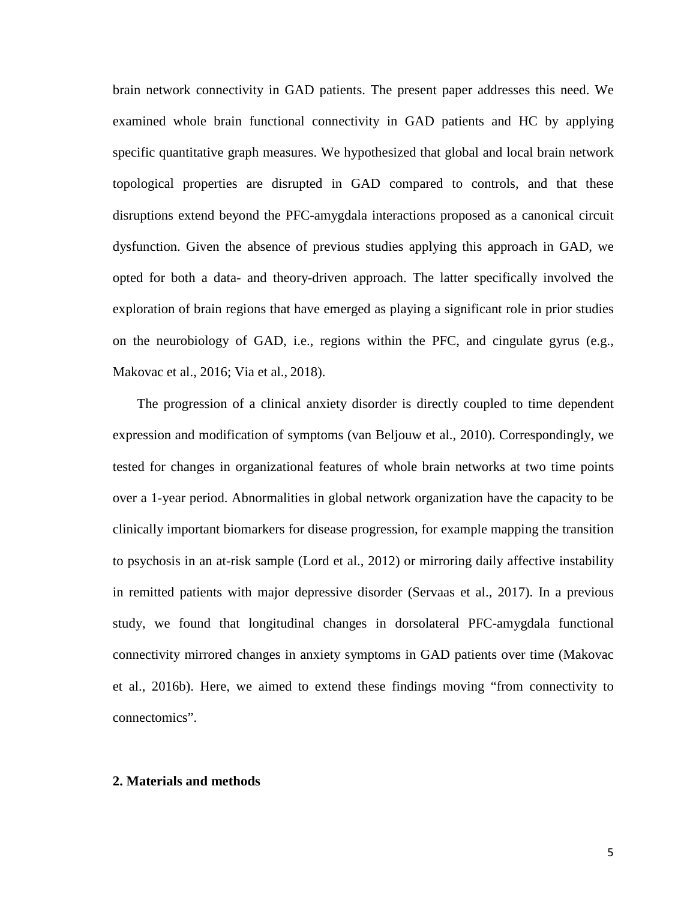brain network connectivity in GAD patients. The present paper addresses this need. We examined whole brain functional connectivity in GAD patients and HC by applying specific quantitative graph measures. We hypothesized that global and local brain network topological properties are disrupted in GAD compared to controls, and that these disruptions extend beyond the PFC-amygdala interactions proposed as a canonical circuit dysfunction. Given the absence of previous studies applying this approach in GAD, we opted for both a data- and theory-driven approach. The latter specifically involved the exploration of brain regions that have emerged as playing a significant role in prior studies on the neurobiology of GAD, i.e., regions within the PFC, and cingulate gyrus (e.g., Makovac et al., 2016; Via et al., 2018).

The progression of a clinical anxiety disorder is directly coupled to time dependent expression and modification of symptoms (van Beljouw et al.*,* 2010). Correspondingly, we tested for changes in organizational features of whole brain networks at two time points over a 1-year period. Abnormalities in global network organization have the capacity to be clinically important biomarkers for disease progression, for example mapping the transition to psychosis in an at-risk sample (Lord et al., 2012) or mirroring daily affective instability in remitted patients with major depressive disorder (Servaas et al., 2017). In a previous study, we found that longitudinal changes in dorsolateral PFC-amygdala functional connectivity mirrored changes in anxiety symptoms in GAD patients over time (Makovac et al., 2016b). Here, we aimed to extend these findings moving "from connectivity to connectomics".

## **2. Materials and methods**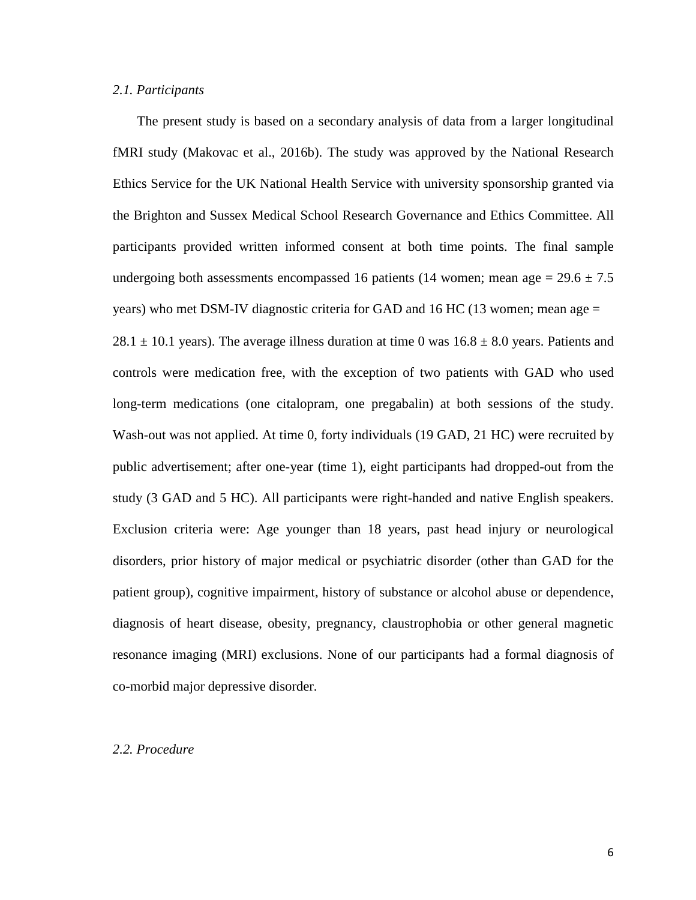#### *2.1. Participants*

The present study is based on a secondary analysis of data from a larger longitudinal fMRI study (Makovac et al., 2016b). The study was approved by the National Research Ethics Service for the UK National Health Service with university sponsorship granted via the Brighton and Sussex Medical School Research Governance and Ethics Committee. All participants provided written informed consent at both time points. The final sample undergoing both assessments encompassed 16 patients (14 women; mean age =  $29.6 \pm 7.5$ ) years) who met DSM-IV diagnostic criteria for GAD and 16 HC (13 women; mean age =  $28.1 \pm 10.1$  years). The average illness duration at time 0 was  $16.8 \pm 8.0$  years. Patients and controls were medication free, with the exception of two patients with GAD who used long-term medications (one citalopram, one pregabalin) at both sessions of the study. Wash-out was not applied. At time 0, forty individuals (19 GAD, 21 HC) were recruited by public advertisement; after one-year (time 1), eight participants had dropped-out from the study (3 GAD and 5 HC). All participants were right-handed and native English speakers. Exclusion criteria were: Age younger than 18 years, past head injury or neurological disorders, prior history of major medical or psychiatric disorder (other than GAD for the patient group), cognitive impairment, history of substance or alcohol abuse or dependence, diagnosis of heart disease, obesity, pregnancy, claustrophobia or other general magnetic resonance imaging (MRI) exclusions. None of our participants had a formal diagnosis of co-morbid major depressive disorder.

#### *2.2. Procedure*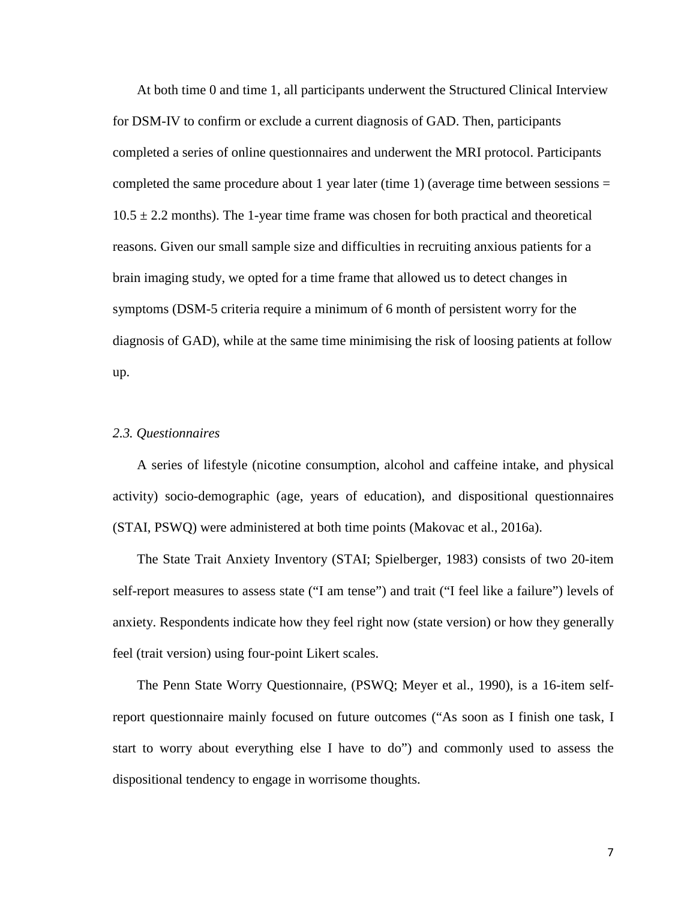At both time 0 and time 1, all participants underwent the Structured Clinical Interview for DSM-IV to confirm or exclude a current diagnosis of GAD. Then, participants completed a series of online questionnaires and underwent the MRI protocol. Participants completed the same procedure about 1 year later (time 1) (average time between sessions  $=$  $10.5 \pm 2.2$  months). The 1-year time frame was chosen for both practical and theoretical reasons. Given our small sample size and difficulties in recruiting anxious patients for a brain imaging study, we opted for a time frame that allowed us to detect changes in symptoms (DSM-5 criteria require a minimum of 6 month of persistent worry for the diagnosis of GAD), while at the same time minimising the risk of loosing patients at follow up.

## *2.3. Questionnaires*

A series of lifestyle (nicotine consumption, alcohol and caffeine intake, and physical activity) socio-demographic (age, years of education), and dispositional questionnaires (STAI, PSWQ) were administered at both time points (Makovac et al., 2016a).

The State Trait Anxiety Inventory (STAI; Spielberger, 1983) consists of two 20-item self-report measures to assess state ("I am tense") and trait ("I feel like a failure") levels of anxiety. Respondents indicate how they feel right now (state version) or how they generally feel (trait version) using four-point Likert scales.

The Penn State Worry Questionnaire, (PSWQ; Meyer et al., 1990), is a 16-item selfreport questionnaire mainly focused on future outcomes ("As soon as I finish one task, I start to worry about everything else I have to do") and commonly used to assess the dispositional tendency to engage in worrisome thoughts.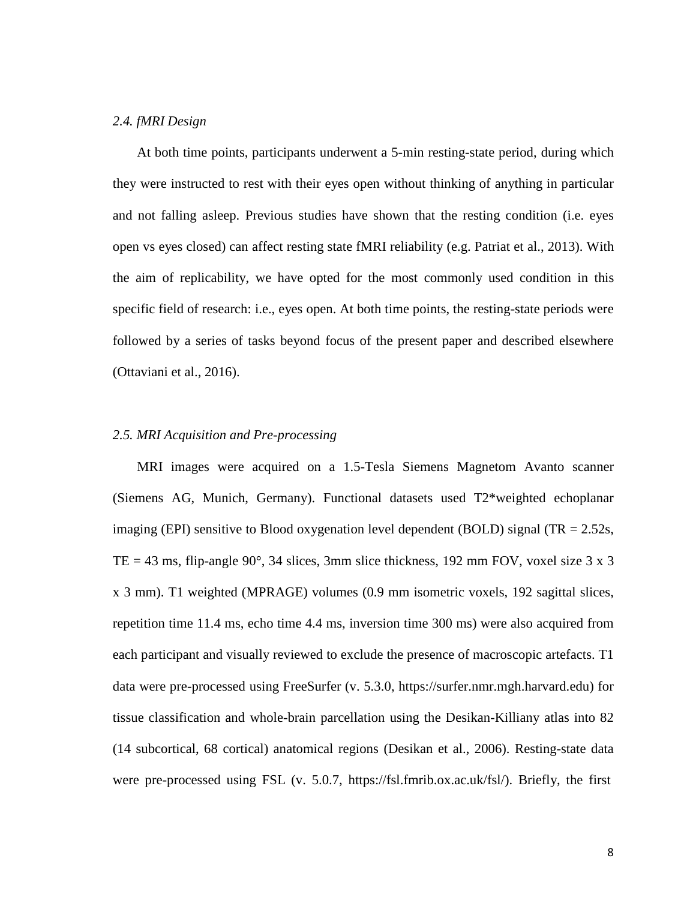## *2.4. fMRI Design*

At both time points, participants underwent a 5-min resting-state period, during which they were instructed to rest with their eyes open without thinking of anything in particular and not falling asleep. Previous studies have shown that the resting condition (i.e. eyes open vs eyes closed) can affect resting state fMRI reliability (e.g. Patriat et al., 2013). With the aim of replicability, we have opted for the most commonly used condition in this specific field of research: i.e., eyes open. At both time points, the resting-state periods were followed by a series of tasks beyond focus of the present paper and described elsewhere (Ottaviani et al., 2016).

#### *2.5. MRI Acquisition and Pre-processing*

MRI images were acquired on a 1.5-Tesla Siemens Magnetom Avanto scanner (Siemens AG, Munich, Germany). Functional datasets used T2\*weighted echoplanar imaging (EPI) sensitive to Blood oxygenation level dependent (BOLD) signal (TR =  $2.52s$ , TE = 43 ms, flip-angle 90 $^{\circ}$ , 34 slices, 3mm slice thickness, 192 mm FOV, voxel size 3 x 3 x 3 mm). T1 weighted (MPRAGE) volumes (0.9 mm isometric voxels, 192 sagittal slices, repetition time 11.4 ms, echo time 4.4 ms, inversion time 300 ms) were also acquired from each participant and visually reviewed to exclude the presence of macroscopic artefacts. T1 data were pre-processed using FreeSurfer (v. 5.3.0, https://surfer.nmr.mgh.harvard.edu) for tissue classification and whole-brain parcellation using the Desikan-Killiany atlas into 82 (14 subcortical, 68 cortical) anatomical regions (Desikan et al., 2006). Resting-state data were pre-processed using FSL (v. 5.0.7, https://fsl.fmrib.ox.ac.uk/fsl/). Briefly, the first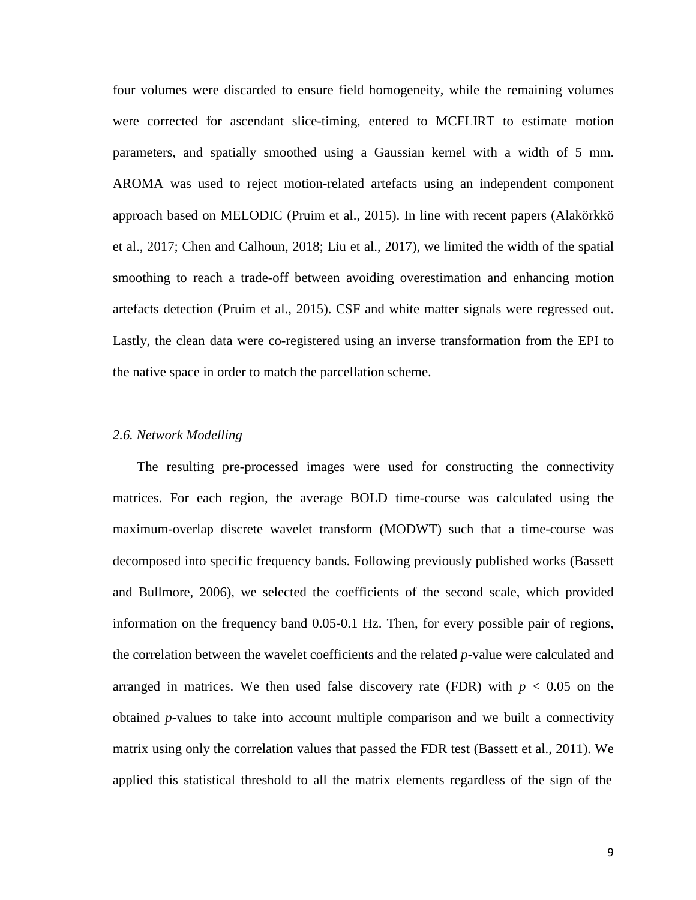four volumes were discarded to ensure field homogeneity, while the remaining volumes were corrected for ascendant slice-timing, entered to MCFLIRT to estimate motion parameters, and spatially smoothed using a Gaussian kernel with a width of 5 mm. AROMA was used to reject motion-related artefacts using an independent component approach based on MELODIC (Pruim et al., 2015). In line with recent papers (Alakörkkö et al., 2017; Chen and Calhoun, 2018; Liu et al., 2017), we limited the width of the spatial smoothing to reach a trade-off between avoiding overestimation and enhancing motion artefacts detection (Pruim et al., 2015). CSF and white matter signals were regressed out. Lastly, the clean data were co-registered using an inverse transformation from the EPI to the native space in order to match the parcellation scheme.

#### *2.6. Network Modelling*

The resulting pre-processed images were used for constructing the connectivity matrices. For each region, the average BOLD time-course was calculated using the maximum-overlap discrete wavelet transform (MODWT) such that a time-course was decomposed into specific frequency bands. Following previously published works (Bassett and Bullmore, 2006), we selected the coefficients of the second scale, which provided information on the frequency band 0.05-0.1 Hz. Then, for every possible pair of regions, the correlation between the wavelet coefficients and the related *p*-value were calculated and arranged in matrices. We then used false discovery rate (FDR) with  $p < 0.05$  on the obtained *p*-values to take into account multiple comparison and we built a connectivity matrix using only the correlation values that passed the FDR test (Bassett et al., 2011). We applied this statistical threshold to all the matrix elements regardless of the sign of the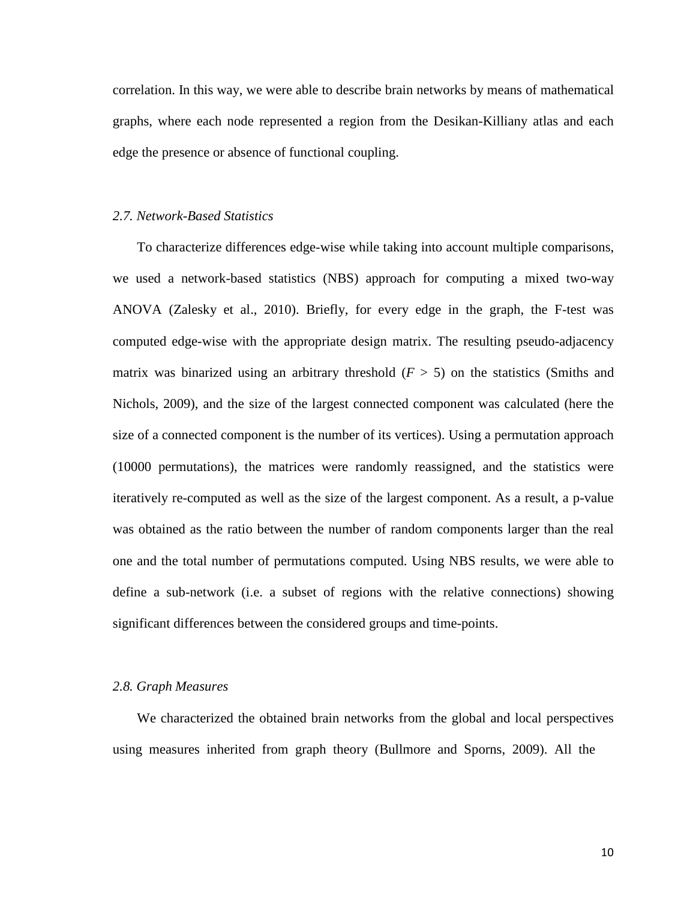correlation. In this way, we were able to describe brain networks by means of mathematical graphs, where each node represented a region from the Desikan-Killiany atlas and each edge the presence or absence of functional coupling.

#### *2.7. Network-Based Statistics*

To characterize differences edge-wise while taking into account multiple comparisons, we used a network-based statistics (NBS) approach for computing a mixed two-way ANOVA (Zalesky et al., 2010). Briefly, for every edge in the graph, the F-test was computed edge-wise with the appropriate design matrix. The resulting pseudo-adjacency matrix was binarized using an arbitrary threshold  $(F > 5)$  on the statistics (Smiths and Nichols, 2009), and the size of the largest connected component was calculated (here the size of a connected component is the number of its vertices). Using a permutation approach (10000 permutations), the matrices were randomly reassigned, and the statistics were iteratively re-computed as well as the size of the largest component. As a result, a p-value was obtained as the ratio between the number of random components larger than the real one and the total number of permutations computed. Using NBS results, we were able to define a sub-network (i.e. a subset of regions with the relative connections) showing significant differences between the considered groups and time-points.

#### *2.8. Graph Measures*

We characterized the obtained brain networks from the global and local perspectives using measures inherited from graph theory (Bullmore and Sporns, 2009). All the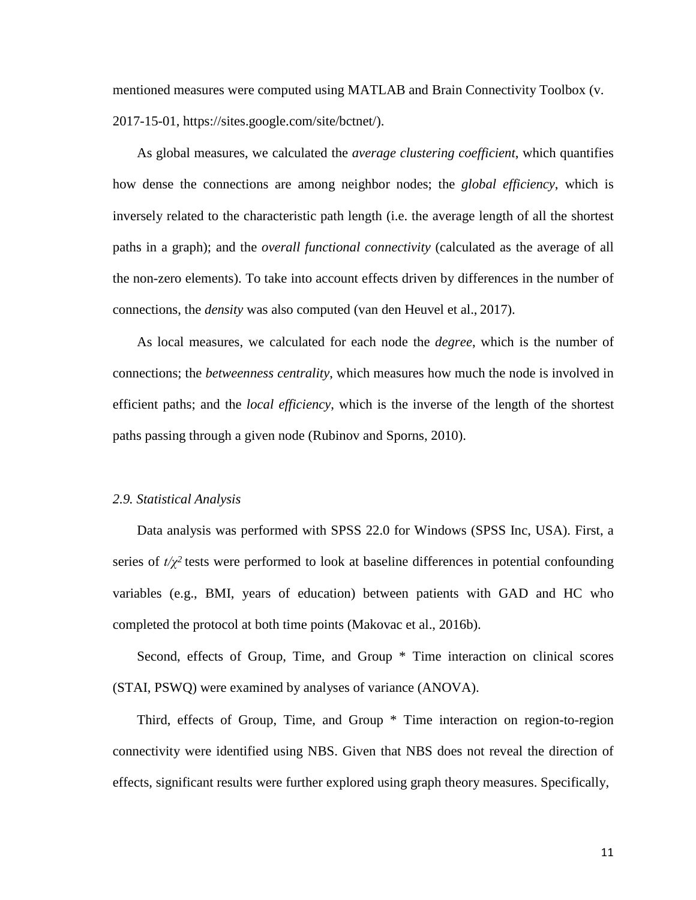mentioned measures were computed using MATLAB and Brain Connectivity Toolbox (v. 2017-15-01, https://sites.google.com/site/bctnet/).

As global measures, we calculated the *average clustering coefficient*, which quantifies how dense the connections are among neighbor nodes; the *global efficiency*, which is inversely related to the characteristic path length (i.e. the average length of all the shortest paths in a graph); and the *overall functional connectivity* (calculated as the average of all the non-zero elements). To take into account effects driven by differences in the number of connections, the *density* was also computed (van den Heuvel et al., 2017).

As local measures, we calculated for each node the *degree*, which is the number of connections; the *betweenness centrality*, which measures how much the node is involved in efficient paths; and the *local efficiency*, which is the inverse of the length of the shortest paths passing through a given node (Rubinov and Sporns, 2010).

#### *2.9. Statistical Analysis*

Data analysis was performed with SPSS 22.0 for Windows (SPSS Inc, USA). First, a series of  $t/\chi^2$  tests were performed to look at baseline differences in potential confounding variables (e.g., BMI, years of education) between patients with GAD and HC who completed the protocol at both time points (Makovac et al., 2016b).

Second, effects of Group, Time, and Group \* Time interaction on clinical scores (STAI, PSWQ) were examined by analyses of variance (ANOVA).

Third, effects of Group, Time, and Group \* Time interaction on region-to-region connectivity were identified using NBS. Given that NBS does not reveal the direction of effects, significant results were further explored using graph theory measures. Specifically,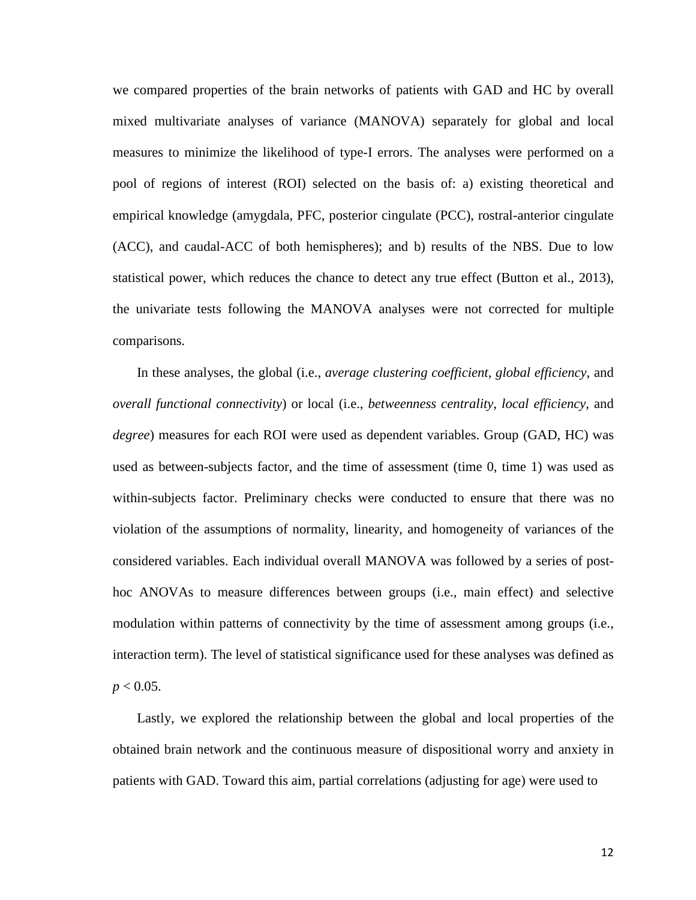we compared properties of the brain networks of patients with GAD and HC by overall mixed multivariate analyses of variance (MANOVA) separately for global and local measures to minimize the likelihood of type-I errors. The analyses were performed on a pool of regions of interest (ROI) selected on the basis of: a) existing theoretical and empirical knowledge (amygdala, PFC, posterior cingulate (PCC), rostral-anterior cingulate (ACC), and caudal-ACC of both hemispheres); and b) results of the NBS. Due to low statistical power, which reduces the chance to detect any true effect (Button et al., 2013), the univariate tests following the MANOVA analyses were not corrected for multiple comparisons.

In these analyses, the global (i.e., *average clustering coefficient*, *global efficiency*, and *overall functional connectivity*) or local (i.e., *betweenness centrality*, *local efficiency,* and *degree*) measures for each ROI were used as dependent variables. Group (GAD, HC) was used as between-subjects factor, and the time of assessment (time 0, time 1) was used as within-subjects factor. Preliminary checks were conducted to ensure that there was no violation of the assumptions of normality, linearity, and homogeneity of variances of the considered variables. Each individual overall MANOVA was followed by a series of posthoc ANOVAs to measure differences between groups (i.e., main effect) and selective modulation within patterns of connectivity by the time of assessment among groups (i.e., interaction term). The level of statistical significance used for these analyses was defined as  $p < 0.05$ .

Lastly, we explored the relationship between the global and local properties of the obtained brain network and the continuous measure of dispositional worry and anxiety in patients with GAD. Toward this aim, partial correlations (adjusting for age) were used to

12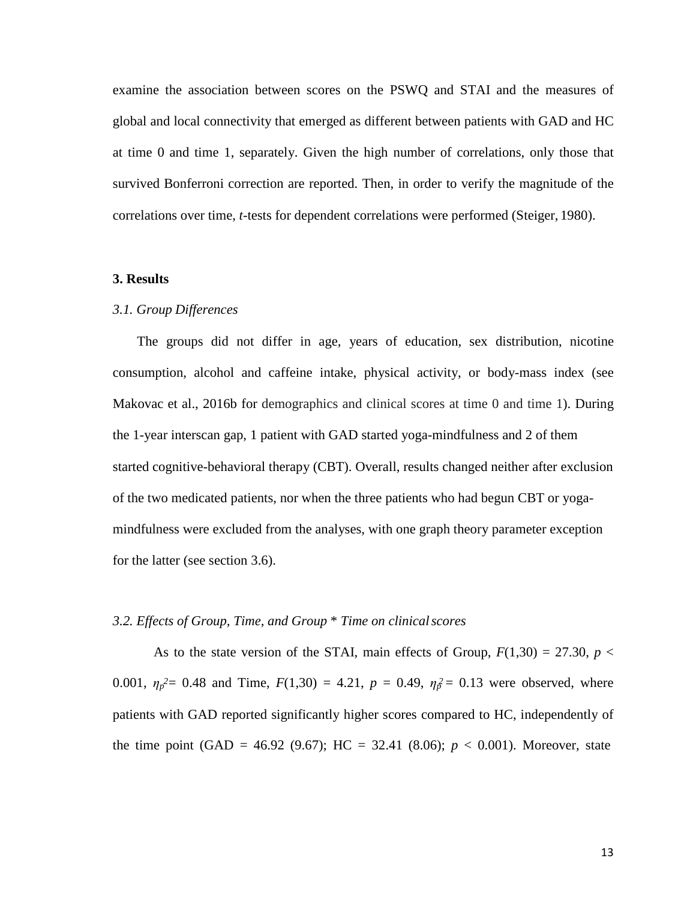examine the association between scores on the PSWQ and STAI and the measures of global and local connectivity that emerged as different between patients with GAD and HC at time 0 and time 1, separately. Given the high number of correlations, only those that survived Bonferroni correction are reported. Then, in order to verify the magnitude of the correlations over time, *t*-tests for dependent correlations were performed (Steiger, 1980).

#### **3. Results**

#### *3.1. Group Differences*

The groups did not differ in age, years of education, sex distribution, nicotine consumption, alcohol and caffeine intake, physical activity, or body-mass index (see Makovac et al., 2016b for demographics and clinical scores at time 0 and time 1). During the 1-year interscan gap, 1 patient with GAD started yoga-mindfulness and 2 of them started cognitive-behavioral therapy (CBT). Overall, results changed neither after exclusion of the two medicated patients, nor when the three patients who had begun CBT or yogamindfulness were excluded from the analyses, with one graph theory parameter exception for the latter (see section 3.6).

#### *3.2. Effects of Group, Time, and Group* \* *Time on clinicalscores*

0.001,  $\eta_p^2 = 0.48$  and Time,  $F(1,30) = 4.21$ ,  $p = 0.49$ ,  $\eta_p^2 = 0.13$  were observed, where As to the state version of the STAI, main effects of Group,  $F(1,30) = 27.30$ ,  $p <$ patients with GAD reported significantly higher scores compared to HC, independently of the time point (GAD = 46.92 (9.67); HC = 32.41 (8.06);  $p < 0.001$ ). Moreover, state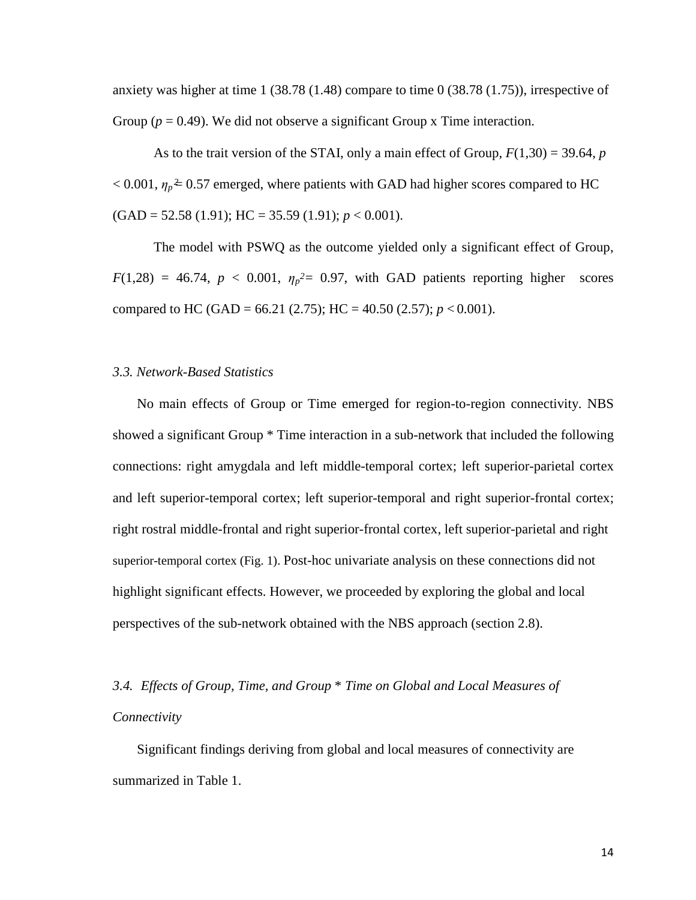anxiety was higher at time 1 (38.78 (1.48) compare to time 0 (38.78 (1.75)), irrespective of Group ( $p = 0.49$ ). We did not observe a significant Group x Time interaction.

 $2 < 0.001$ ,  $\eta_p \approx 0.57$  emerged, where patients with GAD had higher scores compared to HC As to the trait version of the STAI, only a main effect of Group,  $F(1,30) = 39.64$ , *p* (GAD = 52.58 (1.91); HC = 35.59 (1.91); *p* < 0.001).

 $F(1,28) = 46.74$ ,  $p < 0.001$ ,  $\eta_p^2 = 0.97$ , with GAD patients reporting higher scores The model with PSWQ as the outcome yielded only a significant effect of Group, compared to HC (GAD = 66.21 (2.75); HC = 40.50 (2.57);  $p < 0.001$ ).

#### *3.3. Network-Based Statistics*

No main effects of Group or Time emerged for region-to-region connectivity. NBS showed a significant Group \* Time interaction in a sub-network that included the following connections: right amygdala and left middle-temporal cortex; left superior-parietal cortex and left superior-temporal cortex; left superior-temporal and right superior-frontal cortex; right rostral middle-frontal and right superior-frontal cortex, left superior-parietal and right superior-temporal cortex (Fig. 1). Post-hoc univariate analysis on these connections did not highlight significant effects. However, we proceeded by exploring the global and local perspectives of the sub-network obtained with the NBS approach (section 2.8).

# *3.4. Effects of Group, Time, and Group* \* *Time on Global and Local Measures of Connectivity*

Significant findings deriving from global and local measures of connectivity are summarized in Table 1.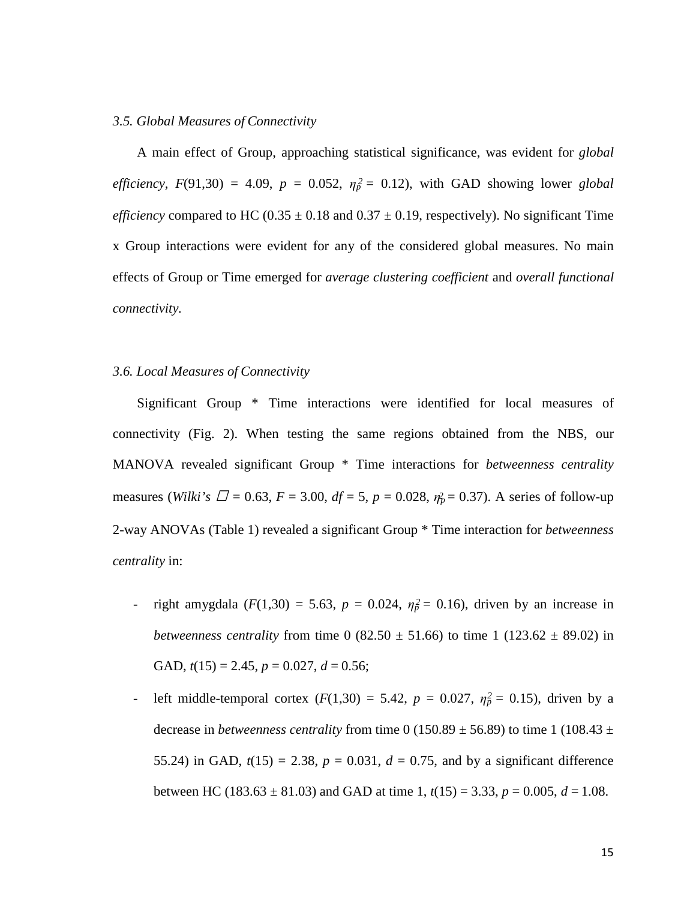#### *3.5. Global Measures of Connectivity*

*efficiency, F*(91,30) = 4.09,  $p = 0.052$ ,  $\eta_p^2 = 0.12$ ), with GAD showing lower *global* A main effect of Group, approaching statistical significance, was evident for *global efficiency* compared to HC (0.35  $\pm$  0.18 and 0.37  $\pm$  0.19, respectively). No significant Time x Group interactions were evident for any of the considered global measures. No main effects of Group or Time emerged for *average clustering coefficient* and *overall functional connectivity.*

#### *3.6. Local Measures of Connectivity*

*2* measures (*Wilki's*  $\Box = 0.63$ ,  $F = 3.00$ ,  $df = 5$ ,  $p = 0.028$ ,  $\eta_p^2 = 0.37$ ). A series of follow-up Significant Group \* Time interactions were identified for local measures of connectivity (Fig. 2). When testing the same regions obtained from the NBS, our MANOVA revealed significant Group \* Time interactions for *betweenness centrality*  2-way ANOVAs (Table 1) revealed a significant Group \* Time interaction for *betweenness centrality* in:

- *2* right amygdala ( $F(1,30) = 5.63$ ,  $p = 0.024$ ,  $\eta_p^2 = 0.16$ ), driven by an increase in *betweenness centrality* from time 0 (82.50  $\pm$  51.66) to time 1 (123.62  $\pm$  89.02) in GAD,  $t(15) = 2.45$ ,  $p = 0.027$ ,  $d = 0.56$ ;
- *2* left middle-temporal cortex  $(F(1,30) = 5.42, p = 0.027, \eta_p^2 = 0.15)$ , driven by a decrease in *betweenness centrality* from time 0 (150.89  $\pm$  56.89) to time 1 (108.43  $\pm$ 55.24) in GAD,  $t(15) = 2.38$ ,  $p = 0.031$ ,  $d = 0.75$ , and by a significant difference between HC (183.63  $\pm$  81.03) and GAD at time 1,  $t(15) = 3.33$ ,  $p = 0.005$ ,  $d = 1.08$ .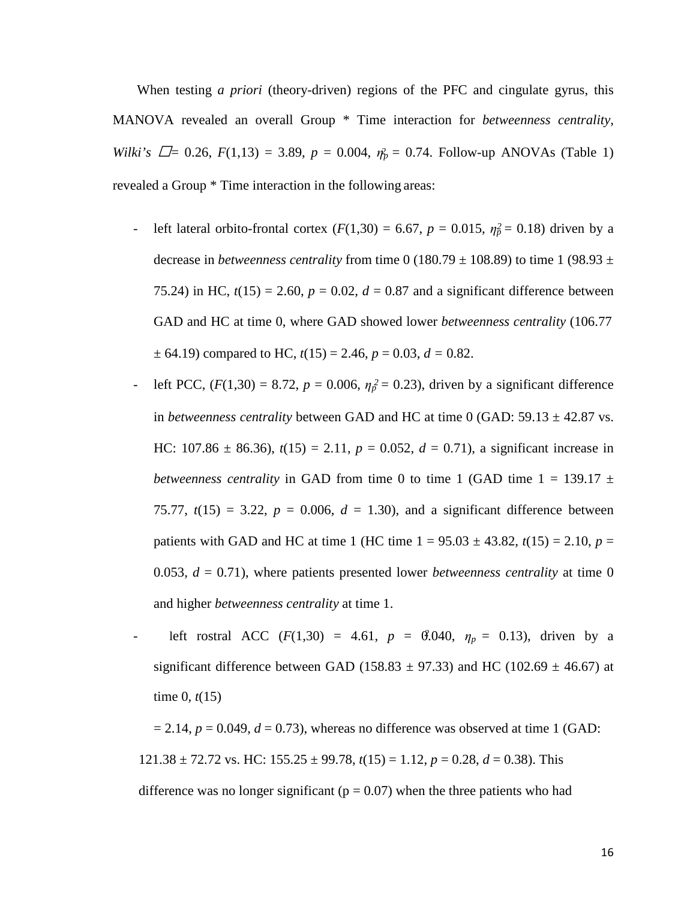*Wilki's*  $\Box$  = 0.26,  $F(1,13) = 3.89$ ,  $p = 0.004$ ,  $\eta_p^2 = 0.74$ . Follow-up ANOVAs (Table 1) When testing *a priori* (theory-driven) regions of the PFC and cingulate gyrus, this MANOVA revealed an overall Group \* Time interaction for *betweenness centrality,*  revealed a Group \* Time interaction in the following areas:

- *2* left lateral orbito-frontal cortex  $(F(1,30) = 6.67, p = 0.015, \eta_p^2 = 0.18)$  driven by a decrease in *betweenness centrality* from time 0 (180.79  $\pm$  108.89) to time 1 (98.93  $\pm$ 75.24) in HC,  $t(15) = 2.60$ ,  $p = 0.02$ ,  $d = 0.87$  and a significant difference between GAD and HC at time 0, where GAD showed lower *betweenness centrality* (106.77  $\pm$  64.19) compared to HC,  $t(15) = 2.46$ ,  $p = 0.03$ ,  $d = 0.82$ .
- *2* left PCC,  $(F(1,30) = 8.72, p = 0.006, \eta_p^2 = 0.23)$ , driven by a significant difference in *betweenness centrality* between GAD and HC at time 0 (GAD:  $59.13 \pm 42.87$  vs. HC:  $107.86 \pm 86.36$ ,  $t(15) = 2.11$ ,  $p = 0.052$ ,  $d = 0.71$ ), a significant increase in *betweenness centrality* in GAD from time 0 to time 1 (GAD time  $1 = 139.17 \pm 10^{-10}$ 75.77,  $t(15) = 3.22$ ,  $p = 0.006$ ,  $d = 1.30$ ), and a significant difference between patients with GAD and HC at time 1 (HC time  $1 = 95.03 \pm 43.82$ ,  $t(15) = 2.10$ ,  $p =$ 0.053, *d* = 0.71), where patients presented lower *betweenness centrality* at time 0 and higher *betweenness centrality* at time 1.
- *2* left rostral ACC (*F*(1,30) = 4.61, *p* = 0.040,  $\eta_p$  = 0.13), driven by a significant difference between GAD (158.83  $\pm$  97.33) and HC (102.69  $\pm$  46.67) at time 0, *t*(15)

 $= 2.14$ ,  $p = 0.049$ ,  $d = 0.73$ ), whereas no difference was observed at time 1 (GAD: 121.38 ± 72.72 vs. HC: 155.25 ± 99.78, *t*(15) = 1.12, *p* = 0.28, *d* = 0.38). This difference was no longer significant ( $p = 0.07$ ) when the three patients who had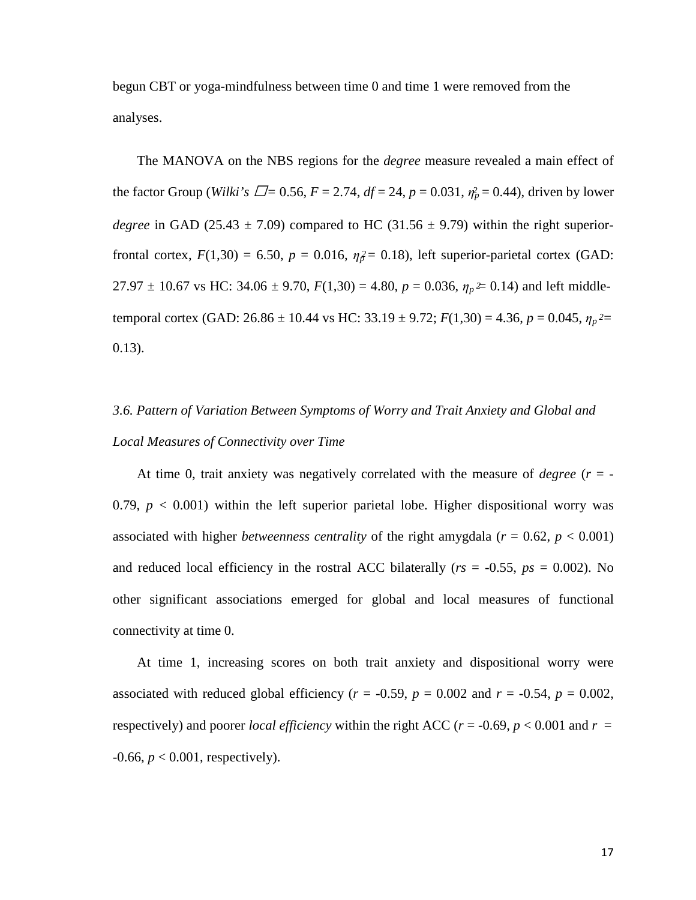begun CBT or yoga-mindfulness between time 0 and time 1 were removed from the analyses.

*z* the factor Group (*Wilki's*  $\Box$  = 0.56,  $F$  = 2.74,  $df$  = 24,  $p$  = 0.031,  $\eta_p^2$  = 0.44), driven by lower *frontal cortex,*  $F(1,30) = 6.50$ *,*  $p = 0.016$ *,*  $\eta_p^2 = 0.18$ *), left superior-parietal cortex (GAD:*  $27.97 \pm 10.67$  vs HC: 34.06  $\pm$  9.70,  $F(1,30) = 4.80$ ,  $p = 0.036$ ,  $\eta_p \approx 0.14$ ) and left middle-*2* temporal cortex (GAD: 26.86 ± 10.44 vs HC: 33.19 ± 9.72; *F*(1,30) = 4.36, *p* = 0.045, *ηp* = The MANOVA on the NBS regions for the *degree* measure revealed a main effect of *degree* in GAD (25.43  $\pm$  7.09) compared to HC (31.56  $\pm$  9.79) within the right superior-0.13).

# *3.6. Pattern of Variation Between Symptoms of Worry and Trait Anxiety and Global and Local Measures of Connectivity over Time*

At time 0, trait anxiety was negatively correlated with the measure of *degree*  $(r = -1)$ 0.79,  $p < 0.001$ ) within the left superior parietal lobe. Higher dispositional worry was associated with higher *betweenness centrality* of the right amygdala ( $r = 0.62$ ,  $p < 0.001$ ) and reduced local efficiency in the rostral ACC bilaterally (*rs* = -0.55, *ps* = 0.002). No other significant associations emerged for global and local measures of functional connectivity at time 0.

At time 1, increasing scores on both trait anxiety and dispositional worry were associated with reduced global efficiency ( $r = -0.59$ ,  $p = 0.002$  and  $r = -0.54$ ,  $p = 0.002$ , respectively) and poorer *local efficiency* within the right ACC ( $r = -0.69$ ,  $p < 0.001$  and  $r =$  $-0.66, p < 0.001$ , respectively).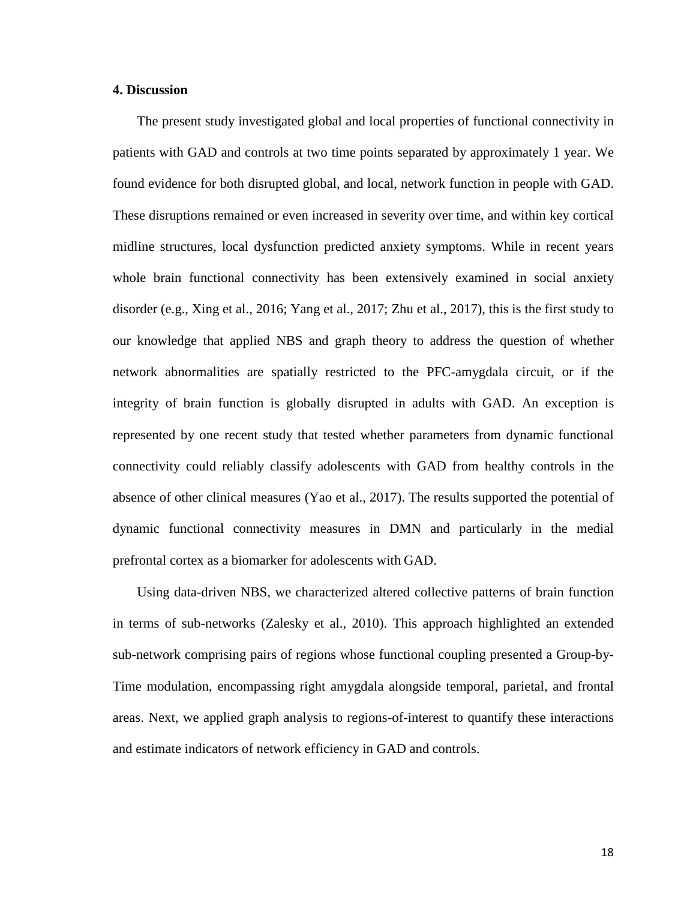#### **4. Discussion**

The present study investigated global and local properties of functional connectivity in patients with GAD and controls at two time points separated by approximately 1 year. We found evidence for both disrupted global, and local, network function in people with GAD. These disruptions remained or even increased in severity over time, and within key cortical midline structures, local dysfunction predicted anxiety symptoms. While in recent years whole brain functional connectivity has been extensively examined in social anxiety disorder (e.g., Xing et al., 2016; Yang et al., 2017; Zhu et al., 2017), this is the first study to our knowledge that applied NBS and graph theory to address the question of whether network abnormalities are spatially restricted to the PFC-amygdala circuit, or if the integrity of brain function is globally disrupted in adults with GAD. An exception is represented by one recent study that tested whether parameters from dynamic functional connectivity could reliably classify adolescents with GAD from healthy controls in the absence of other clinical measures (Yao et al., 2017). The results supported the potential of dynamic functional connectivity measures in DMN and particularly in the medial prefrontal cortex as a biomarker for adolescents with GAD.

Using data-driven NBS, we characterized altered collective patterns of brain function in terms of sub-networks (Zalesky et al., 2010). This approach highlighted an extended sub-network comprising pairs of regions whose functional coupling presented a Group-by-Time modulation, encompassing right amygdala alongside temporal, parietal, and frontal areas. Next, we applied graph analysis to regions-of-interest to quantify these interactions and estimate indicators of network efficiency in GAD and controls.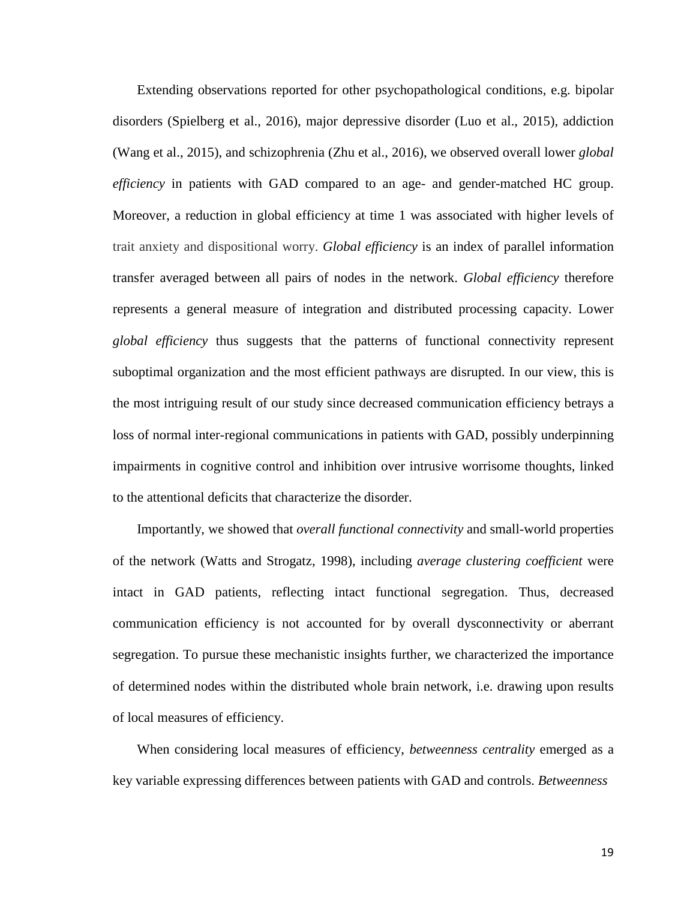Extending observations reported for other psychopathological conditions, e.g. bipolar disorders (Spielberg et al., 2016), major depressive disorder (Luo et al., 2015), addiction (Wang et al., 2015), and schizophrenia (Zhu et al., 2016), we observed overall lower *global efficiency* in patients with GAD compared to an age- and gender-matched HC group. Moreover, a reduction in global efficiency at time 1 was associated with higher levels of trait anxiety and dispositional worry. *Global efficiency* is an index of parallel information transfer averaged between all pairs of nodes in the network. *Global efficiency* therefore represents a general measure of integration and distributed processing capacity. Lower *global efficiency* thus suggests that the patterns of functional connectivity represent suboptimal organization and the most efficient pathways are disrupted. In our view, this is the most intriguing result of our study since decreased communication efficiency betrays a loss of normal inter-regional communications in patients with GAD, possibly underpinning impairments in cognitive control and inhibition over intrusive worrisome thoughts, linked to the attentional deficits that characterize the disorder.

Importantly, we showed that *overall functional connectivity* and small-world properties of the network (Watts and Strogatz, 1998), including *average clustering coefficient* were intact in GAD patients, reflecting intact functional segregation. Thus, decreased communication efficiency is not accounted for by overall dysconnectivity or aberrant segregation. To pursue these mechanistic insights further, we characterized the importance of determined nodes within the distributed whole brain network, i.e. drawing upon results of local measures of efficiency.

When considering local measures of efficiency, *betweenness centrality* emerged as a key variable expressing differences between patients with GAD and controls. *Betweenness*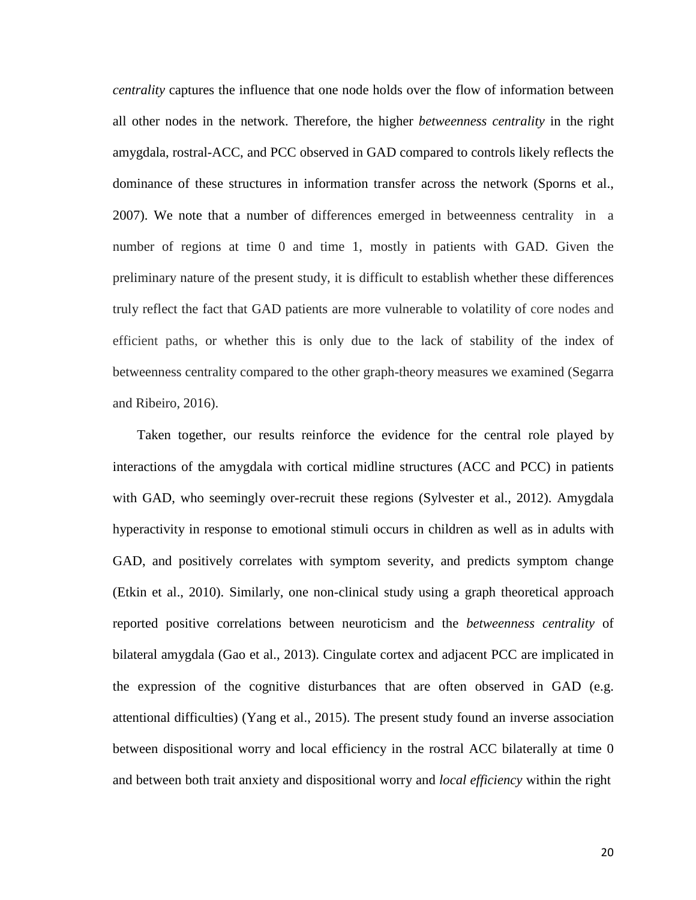*centrality* captures the influence that one node holds over the flow of information between all other nodes in the network. Therefore, the higher *betweenness centrality* in the right amygdala, rostral-ACC, and PCC observed in GAD compared to controls likely reflects the dominance of these structures in information transfer across the network (Sporns et al., 2007). We note that a number of differences emerged in betweenness centrality in a number of regions at time 0 and time 1, mostly in patients with GAD. Given the preliminary nature of the present study, it is difficult to establish whether these differences truly reflect the fact that GAD patients are more vulnerable to volatility of core nodes and efficient paths, or whether this is only due to the lack of stability of the index of betweenness centrality compared to the other graph-theory measures we examined (Segarra and Ribeiro, 2016).

Taken together, our results reinforce the evidence for the central role played by interactions of the amygdala with cortical midline structures (ACC and PCC) in patients with GAD, who seemingly over-recruit these regions (Sylvester et al., 2012). Amygdala hyperactivity in response to emotional stimuli occurs in children as well as in adults with GAD, and positively correlates with symptom severity, and predicts symptom change (Etkin et al., 2010). Similarly, one non-clinical study using a graph theoretical approach reported positive correlations between neuroticism and the *betweenness centrality* of bilateral amygdala (Gao et al., 2013). Cingulate cortex and adjacent PCC are implicated in the expression of the cognitive disturbances that are often observed in GAD (e.g. attentional difficulties) (Yang et al., 2015). The present study found an inverse association between dispositional worry and local efficiency in the rostral ACC bilaterally at time 0 and between both trait anxiety and dispositional worry and *local efficiency* within the right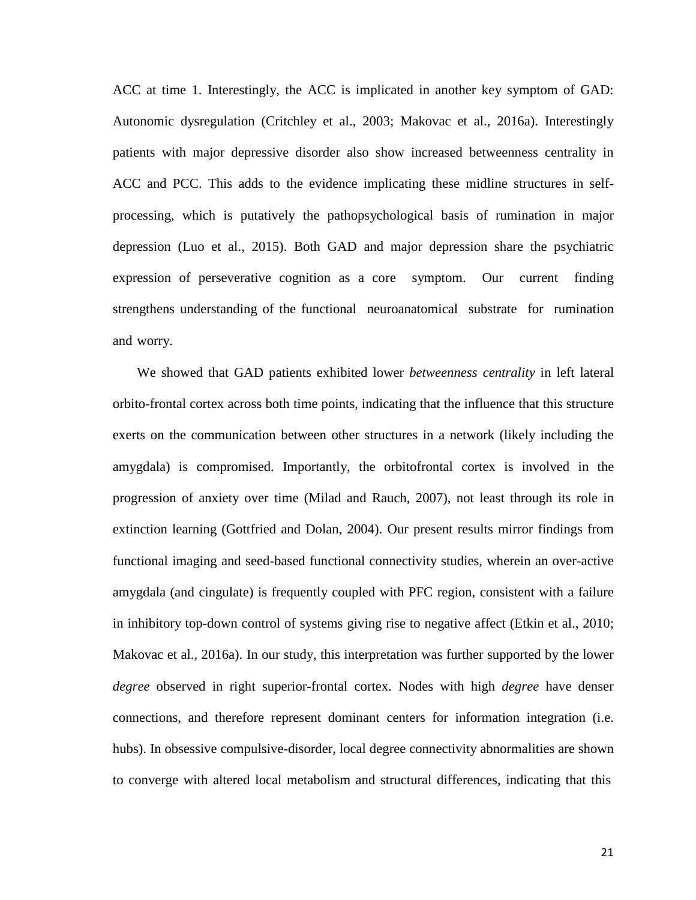ACC at time 1. Interestingly, the ACC is implicated in another key symptom of GAD: Autonomic dysregulation (Critchley et al., 2003; Makovac et al., 2016a). Interestingly patients with major depressive disorder also show increased betweenness centrality in ACC and PCC. This adds to the evidence implicating these midline structures in selfprocessing, which is putatively the pathopsychological basis of rumination in major depression (Luo et al., 2015). Both GAD and major depression share the psychiatric expression of perseverative cognition as a core symptom. Our current finding strengthens understanding of the functional neuroanatomical substrate for rumination and worry.

We showed that GAD patients exhibited lower *betweenness centrality* in left lateral orbito-frontal cortex across both time points, indicating that the influence that this structure exerts on the communication between other structures in a network (likely including the amygdala) is compromised. Importantly, the orbitofrontal cortex is involved in the progression of anxiety over time (Milad and Rauch, 2007), not least through its role in extinction learning (Gottfried and Dolan, 2004). Our present results mirror findings from functional imaging and seed-based functional connectivity studies, wherein an over-active amygdala (and cingulate) is frequently coupled with PFC region, consistent with a failure in inhibitory top-down control of systems giving rise to negative affect (Etkin et al., 2010; Makovac et al., 2016a). In our study, this interpretation was further supported by the lower *degree* observed in right superior-frontal cortex. Nodes with high *degree* have denser connections, and therefore represent dominant centers for information integration (i.e. hubs). In obsessive compulsive-disorder, local degree connectivity abnormalities are shown to converge with altered local metabolism and structural differences, indicating that this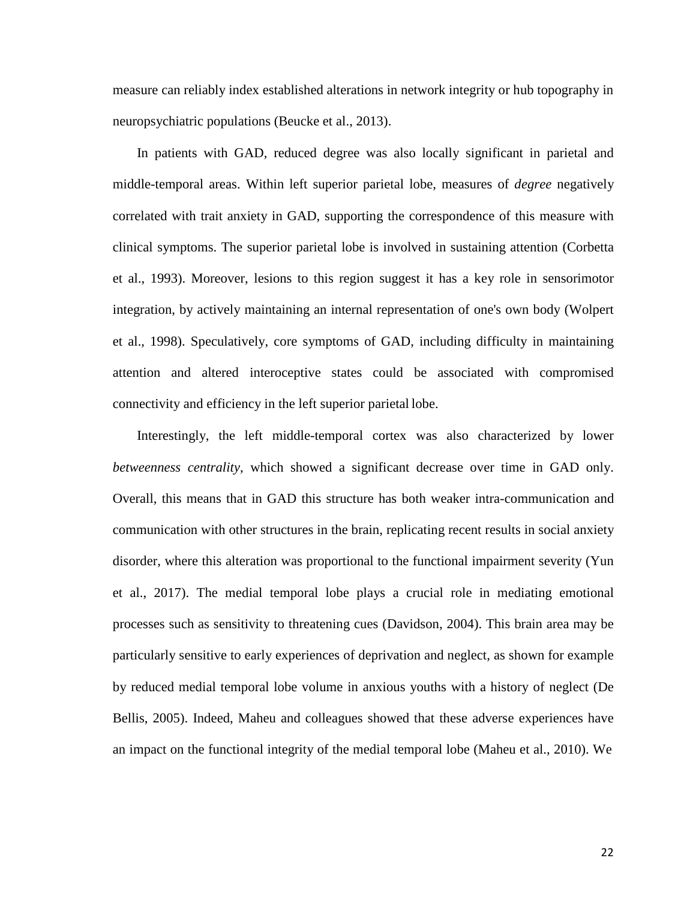measure can reliably index established alterations in network integrity or hub topography in neuropsychiatric populations (Beucke et al., 2013).

In patients with GAD, reduced degree was also locally significant in parietal and middle-temporal areas. Within left superior parietal lobe, measures of *degree* negatively correlated with trait anxiety in GAD, supporting the correspondence of this measure with clinical symptoms. The superior parietal lobe is involved in sustaining attention (Corbetta et al., 1993). Moreover, lesions to this region suggest it has a key role in sensorimotor integration, by actively maintaining an internal representation of one's own body (Wolpert et al., 1998). Speculatively, core symptoms of GAD, including difficulty in maintaining attention and altered interoceptive states could be associated with compromised connectivity and efficiency in the left superior parietal lobe.

Interestingly, the left middle-temporal cortex was also characterized by lower *betweenness centrality*, which showed a significant decrease over time in GAD only. Overall, this means that in GAD this structure has both weaker intra-communication and communication with other structures in the brain, replicating recent results in social anxiety disorder, where this alteration was proportional to the functional impairment severity (Yun et al., 2017). The medial temporal lobe plays a crucial role in mediating emotional processes such as sensitivity to threatening cues (Davidson, 2004). This brain area may be particularly sensitive to early experiences of deprivation and neglect, as shown for example by reduced medial temporal lobe volume in anxious youths with a history of neglect (De Bellis, 2005). Indeed, Maheu and colleagues showed that these adverse experiences have an impact on the functional integrity of the medial temporal lobe (Maheu et al., 2010). We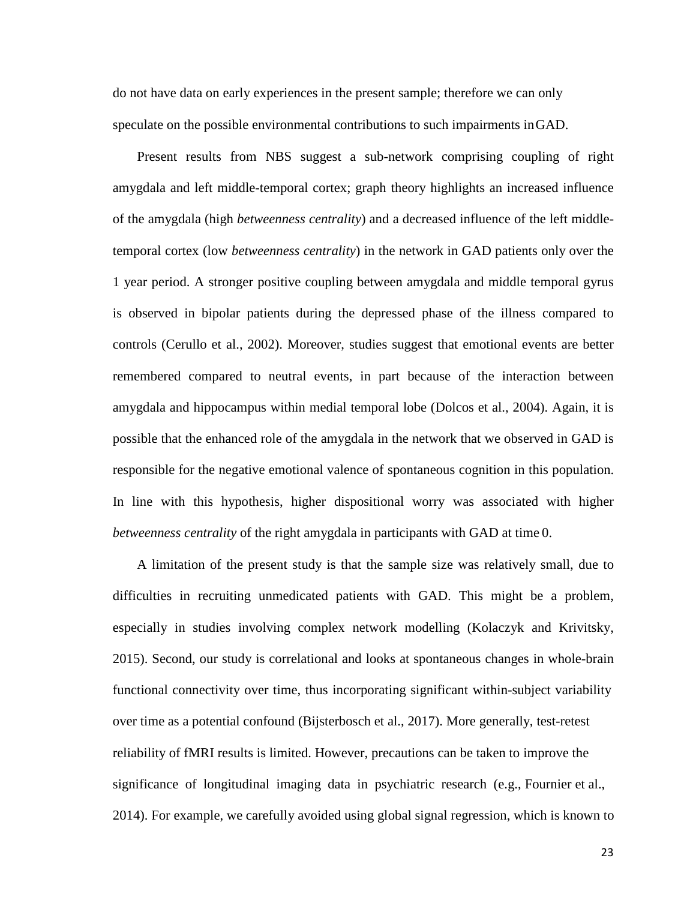do not have data on early experiences in the present sample; therefore we can only speculate on the possible environmental contributions to such impairments inGAD.

Present results from NBS suggest a sub-network comprising coupling of right amygdala and left middle-temporal cortex; graph theory highlights an increased influence of the amygdala (high *betweenness centrality*) and a decreased influence of the left middletemporal cortex (low *betweenness centrality*) in the network in GAD patients only over the 1 year period. A stronger positive coupling between amygdala and middle temporal gyrus is observed in bipolar patients during the depressed phase of the illness compared to controls (Cerullo et al., 2002). Moreover, studies suggest that emotional events are better remembered compared to neutral events, in part because of the interaction between amygdala and hippocampus within medial temporal lobe (Dolcos et al., 2004). Again, it is possible that the enhanced role of the amygdala in the network that we observed in GAD is responsible for the negative emotional valence of spontaneous cognition in this population. In line with this hypothesis, higher dispositional worry was associated with higher *betweenness centrality* of the right amygdala in participants with GAD at time 0.

A limitation of the present study is that the sample size was relatively small, due to difficulties in recruiting unmedicated patients with GAD. This might be a problem, especially in studies involving complex network modelling (Kolaczyk and Krivitsky, 2015). Second, our study is correlational and looks at spontaneous changes in whole-brain functional connectivity over time, thus incorporating significant within-subject variability over time as a potential confound (Bijsterbosch et al., 2017). More generally, test-retest reliability of fMRI results is limited. However, precautions can be taken to improve the significance of longitudinal imaging data in psychiatric research (e.g., Fournier et al., 2014). For example, we carefully avoided using global signal regression, which is known to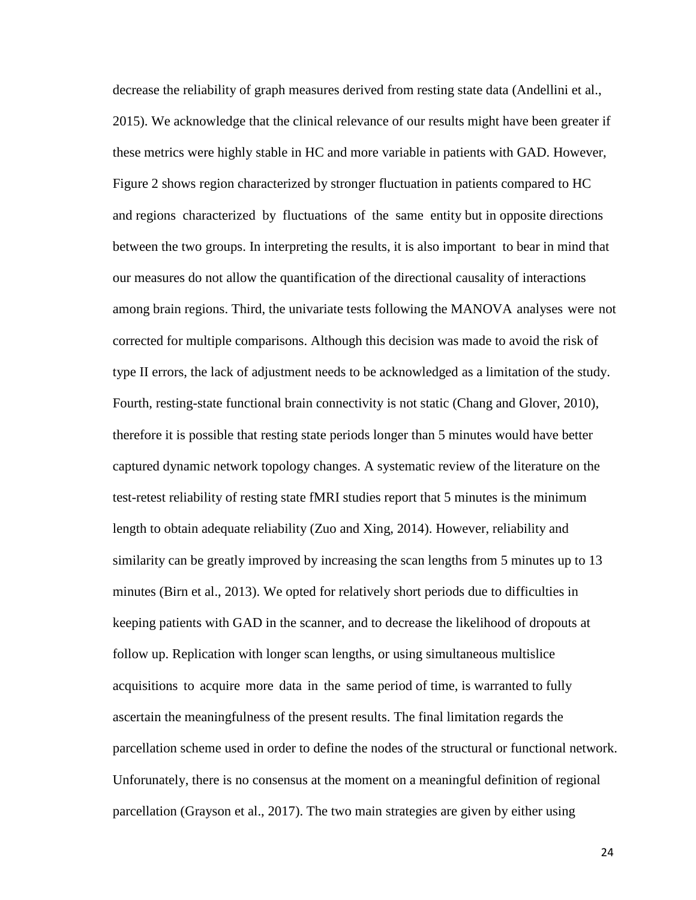decrease the reliability of graph measures derived from resting state data (Andellini et al., 2015). We acknowledge that the clinical relevance of our results might have been greater if these metrics were highly stable in HC and more variable in patients with GAD. However, Figure 2 shows region characterized by stronger fluctuation in patients compared to HC and regions characterized by fluctuations of the same entity but in opposite directions between the two groups. In interpreting the results, it is also important to bear in mind that our measures do not allow the quantification of the directional causality of interactions among brain regions. Third, the univariate tests following the MANOVA analyses were not corrected for multiple comparisons. Although this decision was made to avoid the risk of type II errors, the lack of adjustment needs to be acknowledged as a limitation of the study. Fourth, resting-state functional brain connectivity is not static (Chang and Glover, 2010), therefore it is possible that resting state periods longer than 5 minutes would have better captured dynamic network topology changes. A systematic review of the literature on the test-retest reliability of resting state fMRI studies report that 5 minutes is the minimum length to obtain adequate reliability (Zuo and Xing, 2014). However, reliability and similarity can be greatly improved by increasing the scan lengths from 5 minutes up to 13 minutes (Birn et al., 2013). We opted for relatively short periods due to difficulties in keeping patients with GAD in the scanner, and to decrease the likelihood of dropouts at follow up. Replication with longer scan lengths, or using simultaneous multislice acquisitions to acquire more data in the same period of time, is warranted to fully ascertain the meaningfulness of the present results. The final limitation regards the parcellation scheme used in order to define the nodes of the structural or functional network. Unforunately, there is no consensus at the moment on a meaningful definition of regional parcellation (Grayson et al., 2017). The two main strategies are given by either using

24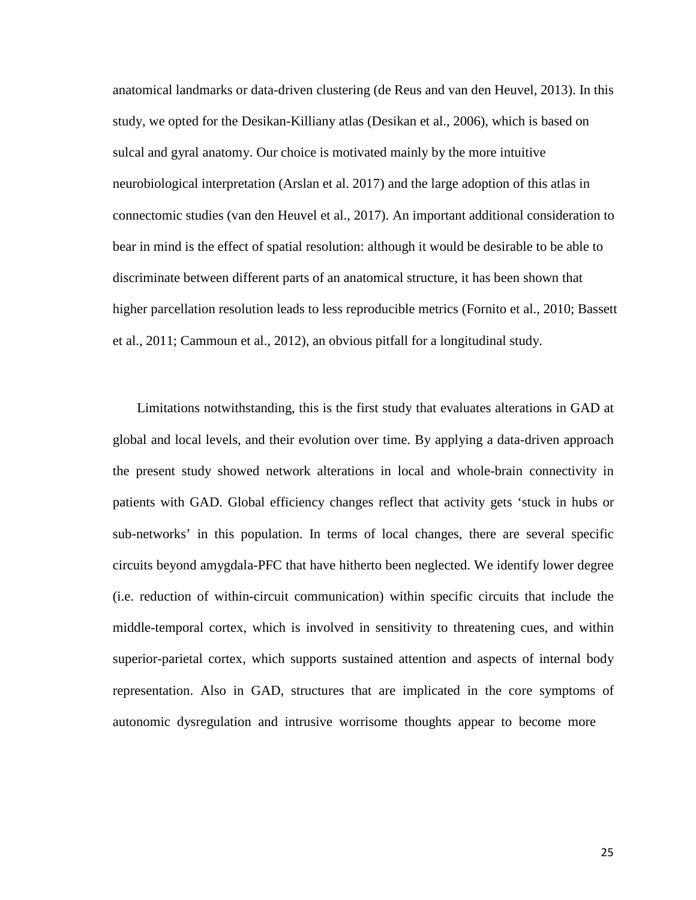anatomical landmarks or data-driven clustering (de Reus and van den Heuvel, 2013). In this study, we opted for the Desikan-Killiany atlas (Desikan et al., 2006), which is based on sulcal and gyral anatomy. Our choice is motivated mainly by the more intuitive neurobiological interpretation (Arslan et al. 2017) and the large adoption of this atlas in connectomic studies (van den Heuvel et al., 2017). An important additional consideration to bear in mind is the effect of spatial resolution: although it would be desirable to be able to discriminate between different parts of an anatomical structure, it has been shown that higher parcellation resolution leads to less reproducible metrics (Fornito et al., 2010; Bassett et al., 2011; Cammoun et al., 2012), an obvious pitfall for a longitudinal study.

Limitations notwithstanding, this is the first study that evaluates alterations in GAD at global and local levels, and their evolution over time. By applying a data-driven approach the present study showed network alterations in local and whole-brain connectivity in patients with GAD. Global efficiency changes reflect that activity gets 'stuck in hubs or sub-networks' in this population. In terms of local changes, there are several specific circuits beyond amygdala-PFC that have hitherto been neglected. We identify lower degree (i.e. reduction of within-circuit communication) within specific circuits that include the middle-temporal cortex, which is involved in sensitivity to threatening cues, and within superior-parietal cortex, which supports sustained attention and aspects of internal body representation. Also in GAD, structures that are implicated in the core symptoms of autonomic dysregulation and intrusive worrisome thoughts appear to become more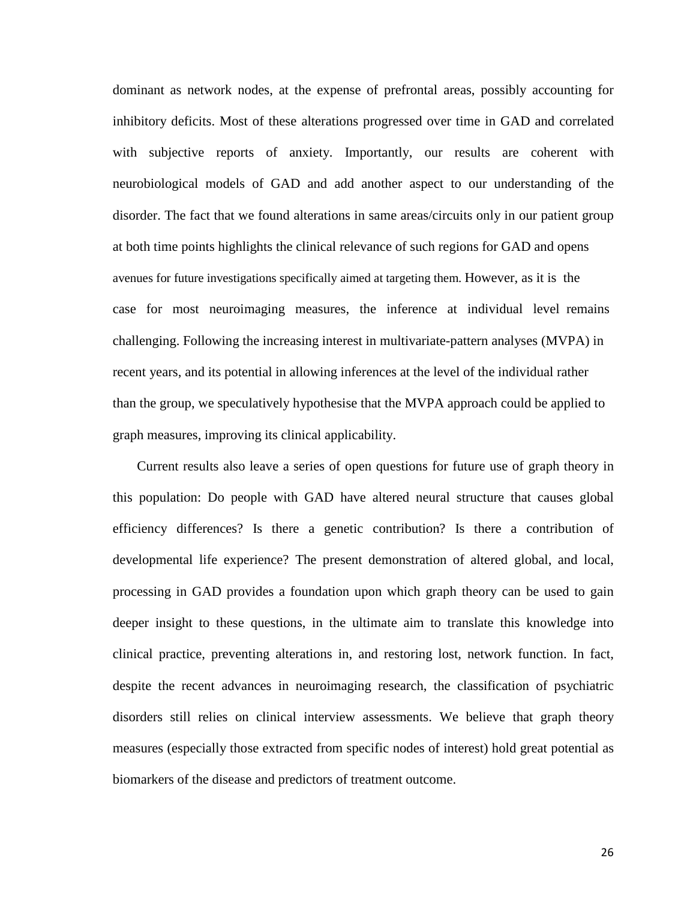dominant as network nodes, at the expense of prefrontal areas, possibly accounting for inhibitory deficits. Most of these alterations progressed over time in GAD and correlated with subjective reports of anxiety. Importantly, our results are coherent with neurobiological models of GAD and add another aspect to our understanding of the disorder. The fact that we found alterations in same areas/circuits only in our patient group at both time points highlights the clinical relevance of such regions for GAD and opens avenues for future investigations specifically aimed at targeting them. However, as it is the case for most neuroimaging measures, the inference at individual level remains challenging. Following the increasing interest in multivariate-pattern analyses (MVPA) in recent years, and its potential in allowing inferences at the level of the individual rather than the group, we speculatively hypothesise that the MVPA approach could be applied to graph measures, improving its clinical applicability.

Current results also leave a series of open questions for future use of graph theory in this population: Do people with GAD have altered neural structure that causes global efficiency differences? Is there a genetic contribution? Is there a contribution of developmental life experience? The present demonstration of altered global, and local, processing in GAD provides a foundation upon which graph theory can be used to gain deeper insight to these questions, in the ultimate aim to translate this knowledge into clinical practice, preventing alterations in, and restoring lost, network function. In fact, despite the recent advances in neuroimaging research, the classification of psychiatric disorders still relies on clinical interview assessments. We believe that graph theory measures (especially those extracted from specific nodes of interest) hold great potential as biomarkers of the disease and predictors of treatment outcome.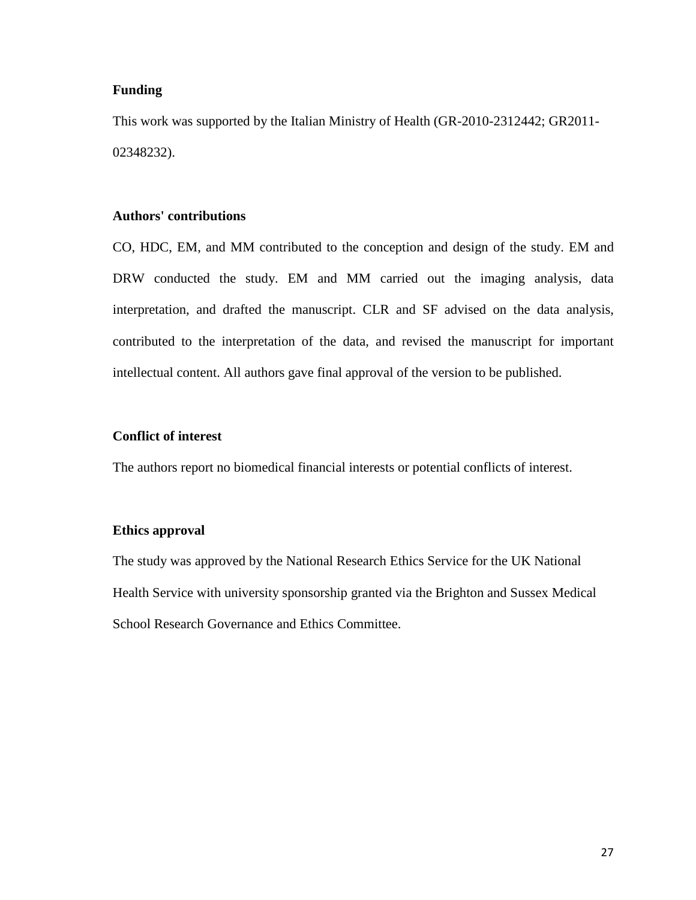# **Funding**

This work was supported by the Italian Ministry of Health (GR-2010-2312442; GR2011- 02348232).

## **Authors' contributions**

CO, HDC, EM, and MM contributed to the conception and design of the study. EM and DRW conducted the study. EM and MM carried out the imaging analysis, data interpretation, and drafted the manuscript. CLR and SF advised on the data analysis, contributed to the interpretation of the data, and revised the manuscript for important intellectual content. All authors gave final approval of the version to be published.

#### **Conflict of interest**

The authors report no biomedical financial interests or potential conflicts of interest.

#### **Ethics approval**

The study was approved by the National Research Ethics Service for the UK National Health Service with university sponsorship granted via the Brighton and Sussex Medical School Research Governance and Ethics Committee.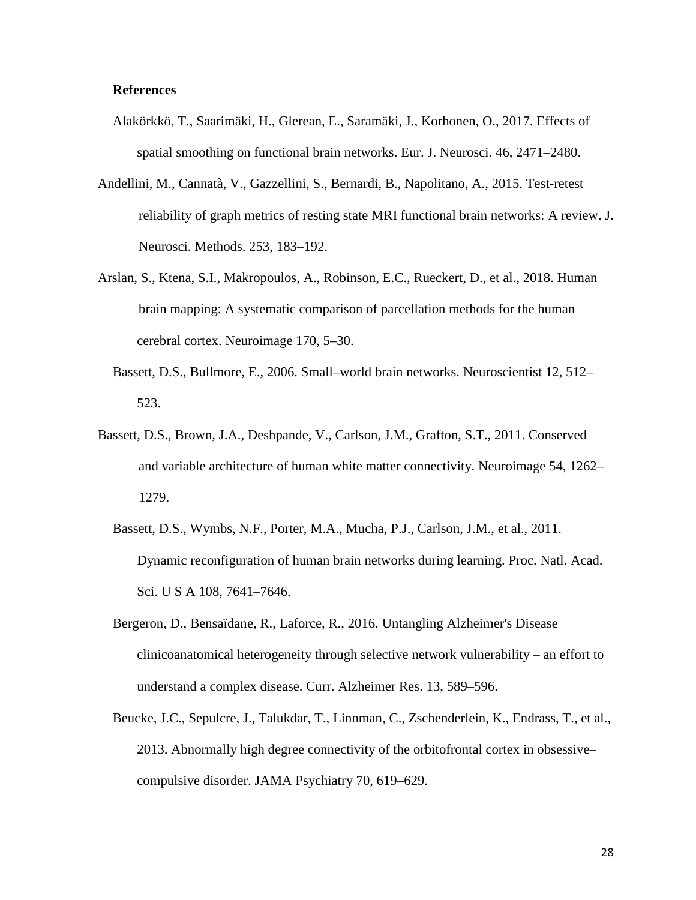## **References**

- Alakörkkö, T., Saarimäki, H., Glerean, E., Saramäki, J., Korhonen, O., 2017. Effects of spatial smoothing on functional brain networks. Eur. J. Neurosci. 46, 2471–2480.
- Andellini, M., Cannatà, V., Gazzellini, S., Bernardi, B., Napolitano, A., 2015. Test-retest reliability of graph metrics of resting state MRI functional brain networks: A review. J. Neurosci. Methods. 253, 183–192.
- Arslan, S., Ktena, S.I., Makropoulos, A., Robinson, E.C., Rueckert, D., et al., 2018. Human brain mapping: A systematic comparison of parcellation methods for the human cerebral cortex. Neuroimage 170, 5–30.
	- Bassett, D.S., Bullmore, E., 2006. Small–world brain networks. Neuroscientist 12, 512– 523.
- Bassett, D.S., Brown, J.A., Deshpande, V., Carlson, J.M., Grafton, S.T., 2011. Conserved and variable architecture of human white matter connectivity. Neuroimage 54, 1262– 1279.
	- Bassett, D.S., Wymbs, N.F., Porter, M.A., Mucha, P.J., Carlson, J.M., et al., 2011. Dynamic reconfiguration of human brain networks during learning. Proc. Natl. Acad. Sci. U S A 108, 7641–7646.
	- Bergeron, D., Bensaïdane, R., Laforce, R., 2016. Untangling Alzheimer's Disease clinicoanatomical heterogeneity through selective network vulnerability – an effort to understand a complex disease. Curr. Alzheimer Res. 13, 589–596.
	- Beucke, J.C., Sepulcre, J., Talukdar, T., Linnman, C., Zschenderlein, K., Endrass, T., et al., 2013. Abnormally high degree connectivity of the orbitofrontal cortex in obsessive– compulsive disorder. JAMA Psychiatry 70, 619–629.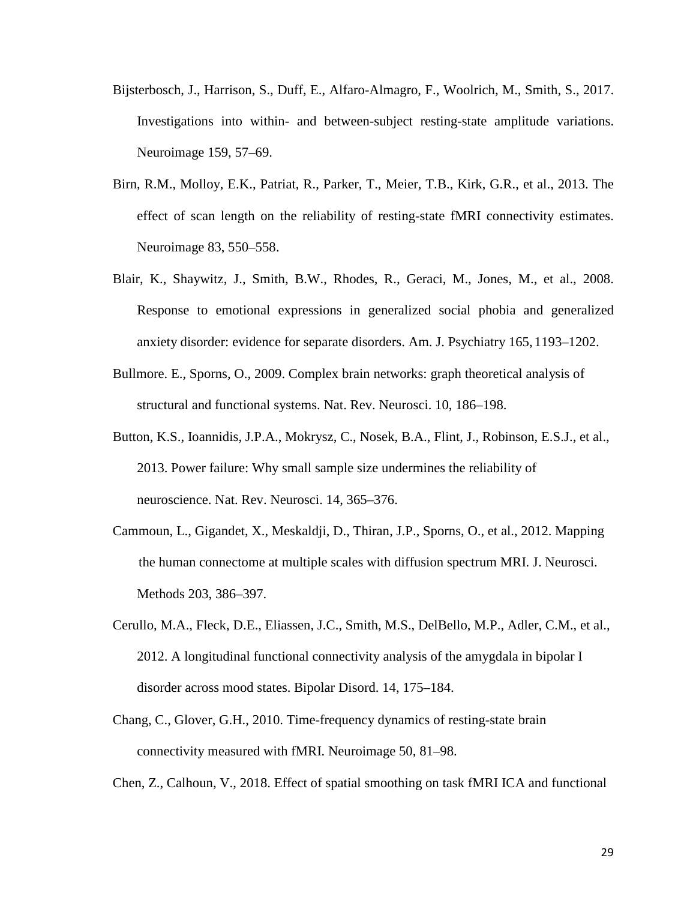- Bijsterbosch, J., Harrison, S., Duff, E., Alfaro-Almagro, F., Woolrich, M., Smith, S., 2017. Investigations into within- and between-subject resting-state amplitude variations. Neuroimage 159, 57–69.
- Birn, R.M., Molloy, E.K., Patriat, R., Parker, T., Meier, T.B., Kirk, G.R., et al., 2013. The effect of scan length on the reliability of resting-state fMRI connectivity estimates. Neuroimage 83, 550–558.
- Blair, K., Shaywitz, J., Smith, B.W., Rhodes, R., Geraci, M., Jones, M., et al., 2008. Response to emotional expressions in generalized social phobia and generalized anxiety disorder: evidence for separate disorders. Am. J. Psychiatry 165, 1193–1202.
- Bullmore. E., Sporns, O., 2009. Complex brain networks: graph theoretical analysis of structural and functional systems. Nat. Rev. Neurosci. 10, 186–198.
- Button, K.S., Ioannidis, J.P.A., Mokrysz, C., Nosek, B.A., Flint, J., Robinson, E.S.J., et al., 2013. Power failure: Why small sample size undermines the reliability of neuroscience. Nat. Rev. Neurosci. 14, 365–376.
- Cammoun, L., Gigandet, X., Meskaldji, D., Thiran, J.P., Sporns, O., et al., 2012. Mapping the human connectome at multiple scales with diffusion spectrum MRI. J. Neurosci. Methods 203, 386–397.
- Cerullo, M.A., Fleck, D.E., Eliassen, J.C., Smith, M.S., DelBello, M.P., Adler, C.M., et al., 2012. A longitudinal functional connectivity analysis of the amygdala in bipolar I disorder across mood states. Bipolar Disord. 14, 175–184.
- Chang, C., Glover, G.H., 2010. Time-frequency dynamics of resting-state brain connectivity measured with fMRI. Neuroimage 50, 81–98.

Chen, Z., Calhoun, V., 2018. Effect of spatial smoothing on task fMRI ICA and functional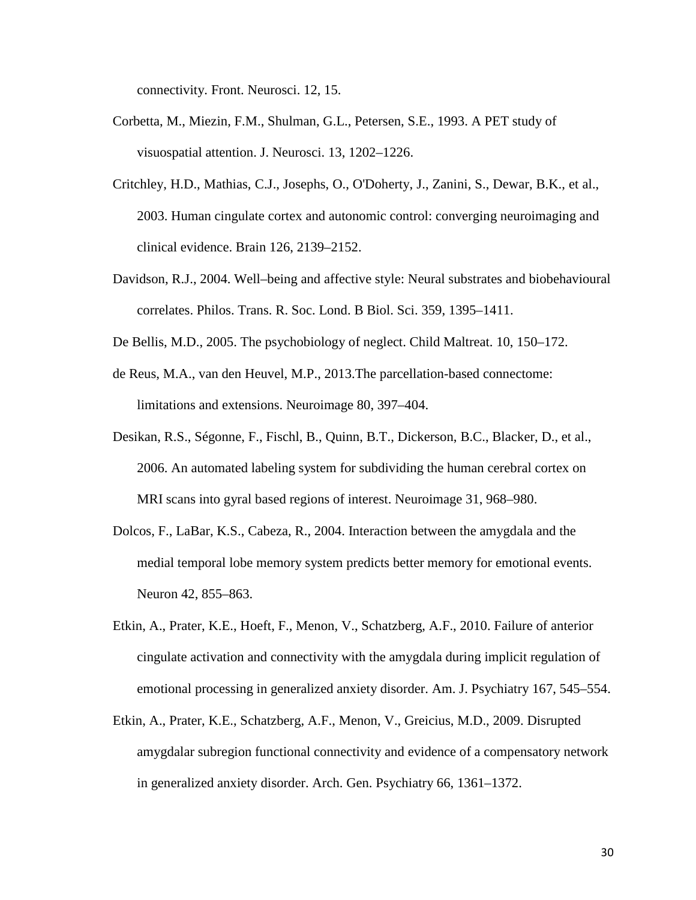connectivity. Front. Neurosci. 12, 15.

- Corbetta, M., Miezin, F.M., Shulman, G.L., Petersen, S.E., 1993. A PET study of visuospatial attention. J. Neurosci. 13, 1202–1226.
- Critchley, H.D., Mathias, C.J., Josephs, O., O'Doherty, J., Zanini, S., Dewar, B.K., et al., 2003. Human cingulate cortex and autonomic control: converging neuroimaging and clinical evidence. Brain 126, 2139–2152.
- Davidson, R.J., 2004. Well–being and affective style: Neural substrates and biobehavioural correlates. Philos. Trans. R. Soc. Lond. B Biol. Sci. 359, 1395–1411.
- De Bellis, M.D., 2005. The psychobiology of neglect. Child Maltreat. 10, 150–172.
- de Reus, M.A., van den Heuvel, M.P., 2013.The parcellation-based connectome: limitations and extensions. Neuroimage 80, 397–404.
- Desikan, R.S., Ségonne, F., Fischl, B., Quinn, B.T., Dickerson, B.C., Blacker, D., et al., 2006. An automated labeling system for subdividing the human cerebral cortex on MRI scans into gyral based regions of interest. Neuroimage 31, 968–980.
- Dolcos, F., LaBar, K.S., Cabeza, R., 2004. Interaction between the amygdala and the medial temporal lobe memory system predicts better memory for emotional events. Neuron 42, 855–863.
- Etkin, A., Prater, K.E., Hoeft, F., Menon, V., Schatzberg, A.F., 2010. Failure of anterior cingulate activation and connectivity with the amygdala during implicit regulation of emotional processing in generalized anxiety disorder. Am. J. Psychiatry 167, 545–554.
- Etkin, A., Prater, K.E., Schatzberg, A.F., Menon, V., Greicius, M.D., 2009. Disrupted amygdalar subregion functional connectivity and evidence of a compensatory network in generalized anxiety disorder. Arch. Gen. Psychiatry 66, 1361–1372.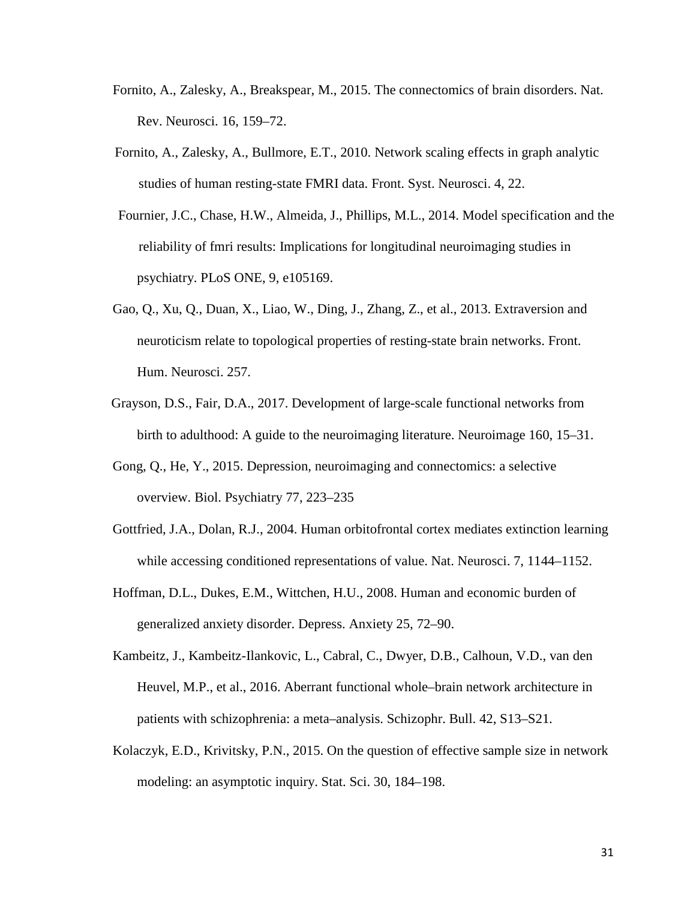- Fornito, A., Zalesky, A., Breakspear, M., 2015. The connectomics of brain disorders. Nat. Rev. Neurosci. 16, 159–72.
- Fornito, A., Zalesky, A., Bullmore, E.T., 2010. Network scaling effects in graph analytic studies of human resting-state FMRI data. Front. Syst. Neurosci. 4, 22.
- Fournier, J.C., Chase, H.W., Almeida, J., Phillips, M.L., 2014. Model specification and the reliability of fmri results: Implications for longitudinal neuroimaging studies in psychiatry. PLoS ONE, 9, e105169.
- Gao, Q., Xu, Q., Duan, X., Liao, W., Ding, J., Zhang, Z., et al., 2013. Extraversion and neuroticism relate to topological properties of resting-state brain networks. Front. Hum. Neurosci. 257.
- Grayson, D.S., Fair, D.A., 2017. Development of large-scale functional networks from birth to adulthood: A guide to the neuroimaging literature. Neuroimage 160, 15–31.
- Gong, Q., He, Y., 2015. Depression, neuroimaging and connectomics: a selective overview. Biol. Psychiatry 77, 223–235
- Gottfried, J.A., Dolan, R.J., 2004. Human orbitofrontal cortex mediates extinction learning while accessing conditioned representations of value. Nat. Neurosci. 7, 1144–1152.
- Hoffman, D.L., Dukes, E.M., Wittchen, H.U., 2008. Human and economic burden of generalized anxiety disorder. Depress. Anxiety 25, 72–90.
- Kambeitz, J., Kambeitz-Ilankovic, L., Cabral, C., Dwyer, D.B., Calhoun, V.D., van den Heuvel, M.P., et al., 2016. Aberrant functional whole–brain network architecture in patients with schizophrenia: a meta–analysis. Schizophr. Bull. 42, S13–S21.
- Kolaczyk, E.D., Krivitsky, P.N., 2015. On the question of effective sample size in network modeling: an asymptotic inquiry. Stat. Sci. 30, 184–198.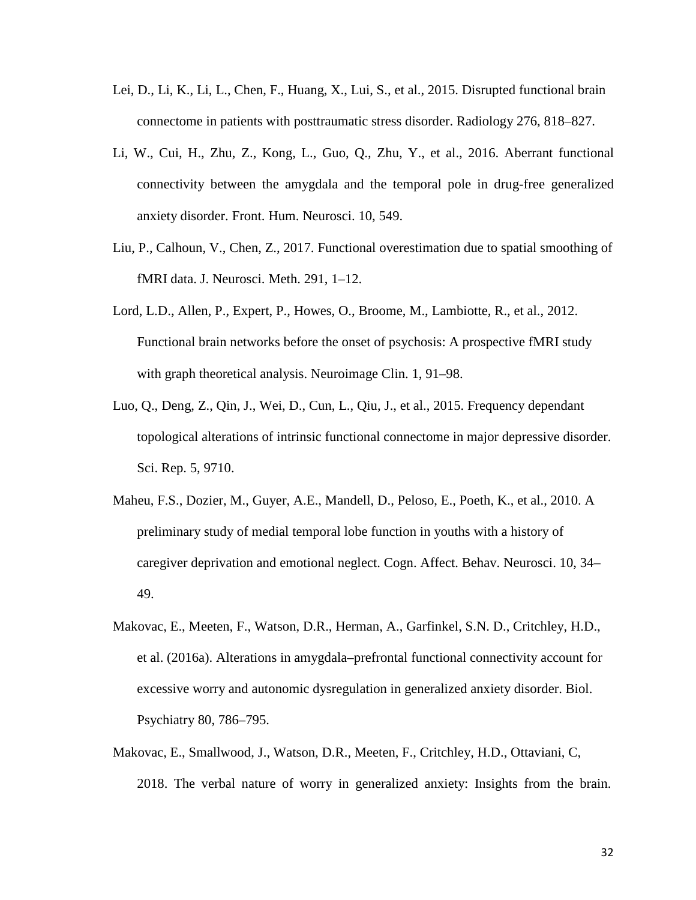- Lei, D., Li, K., Li, L., Chen, F., Huang, X., Lui, S., et al., 2015. Disrupted functional brain connectome in patients with posttraumatic stress disorder. Radiology 276, 818–827.
- Li, W., Cui, H., Zhu, Z., Kong, L., Guo, Q., Zhu, Y., et al., 2016. Aberrant functional connectivity between the amygdala and the temporal pole in drug-free generalized anxiety disorder. Front. Hum. Neurosci. 10, 549.
- Liu, P., Calhoun, V., Chen, Z., 2017. Functional overestimation due to spatial smoothing of fMRI data. J. Neurosci. Meth. 291, 1–12.
- Lord, L.D., Allen, P., Expert, P., Howes, O., Broome, M., Lambiotte, R., et al., 2012. Functional brain networks before the onset of psychosis: A prospective fMRI study with graph theoretical analysis. Neuroimage Clin. 1, 91–98.
- Luo, Q., Deng, Z., Qin, J., Wei, D., Cun, L., Qiu, J., et al., 2015. Frequency dependant topological alterations of intrinsic functional connectome in major depressive disorder. Sci. Rep. 5, 9710.
- Maheu, F.S., Dozier, M., Guyer, A.E., Mandell, D., Peloso, E., Poeth, K., et al., 2010. A preliminary study of medial temporal lobe function in youths with a history of caregiver deprivation and emotional neglect. Cogn. Affect. Behav. Neurosci. 10, 34– 49.
- Makovac, E., Meeten, F., Watson, D.R., Herman, A., Garfinkel, S.N. D., Critchley, H.D., et al. (2016a). Alterations in amygdala–prefrontal functional connectivity account for excessive worry and autonomic dysregulation in generalized anxiety disorder. Biol. Psychiatry 80, 786–795.
- Makovac, E., Smallwood, J., Watson, D.R., Meeten, F., Critchley, H.D., Ottaviani, C, 2018. The verbal nature of worry in generalized anxiety: Insights from the brain.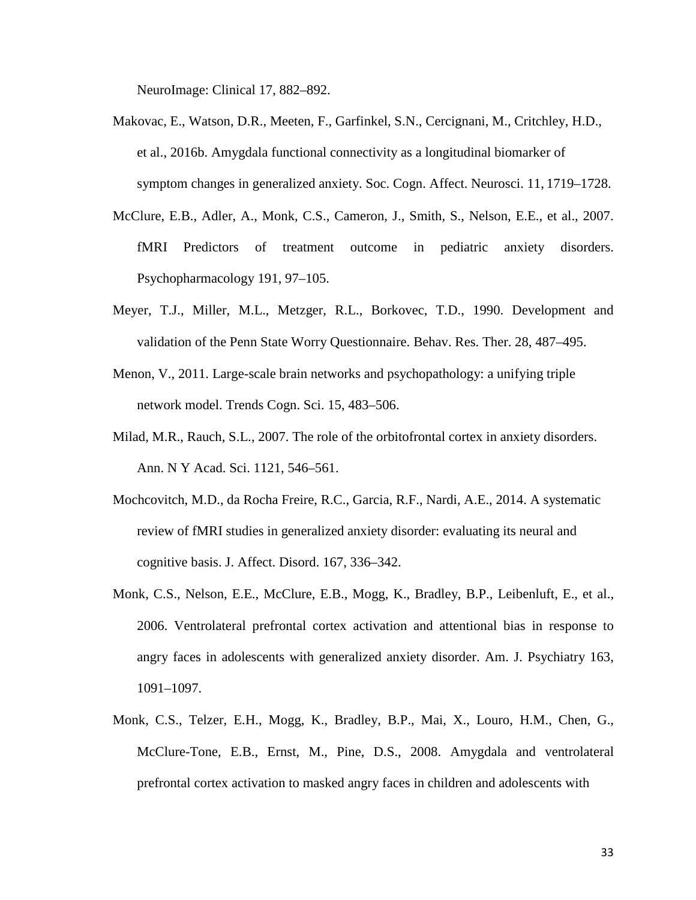NeuroImage: Clinical 17, 882–892.

- Makovac, E., Watson, D.R., Meeten, F., Garfinkel, S.N., Cercignani, M., Critchley, H.D., et al., 2016b. Amygdala functional connectivity as a longitudinal biomarker of symptom changes in generalized anxiety. Soc. Cogn. Affect. Neurosci. 11, 1719–1728.
- McClure, E.B., Adler, A., Monk, C.S., Cameron, J., Smith, S., Nelson, E.E., et al., 2007. fMRI Predictors of treatment outcome in pediatric anxiety disorders. Psychopharmacology 191, 97–105.
- Meyer, T.J., Miller, M.L., Metzger, R.L., Borkovec, T.D., 1990. Development and validation of the Penn State Worry Questionnaire. Behav. Res. Ther. 28, 487–495.
- Menon, V., 2011. Large-scale brain networks and psychopathology: a unifying triple network model. Trends Cogn. Sci. 15, 483–506.
- Milad, M.R., Rauch, S.L., 2007. The role of the orbitofrontal cortex in anxiety disorders. Ann. N Y Acad. Sci. 1121, 546–561.
- Mochcovitch, M.D., da Rocha Freire, R.C., Garcia, R.F., Nardi, A.E., 2014. A systematic review of fMRI studies in generalized anxiety disorder: evaluating its neural and cognitive basis. J. Affect. Disord. 167, 336–342.
- Monk, C.S., Nelson, E.E., McClure, E.B., Mogg, K., Bradley, B.P., Leibenluft, E., et al., 2006. Ventrolateral prefrontal cortex activation and attentional bias in response to angry faces in adolescents with generalized anxiety disorder. Am. J. Psychiatry 163, 1091–1097.
- Monk, C.S., Telzer, E.H., Mogg, K., Bradley, B.P., Mai, X., Louro, H.M., Chen, G., McClure-Tone, E.B., Ernst, M., Pine, D.S., 2008. Amygdala and ventrolateral prefrontal cortex activation to masked angry faces in children and adolescents with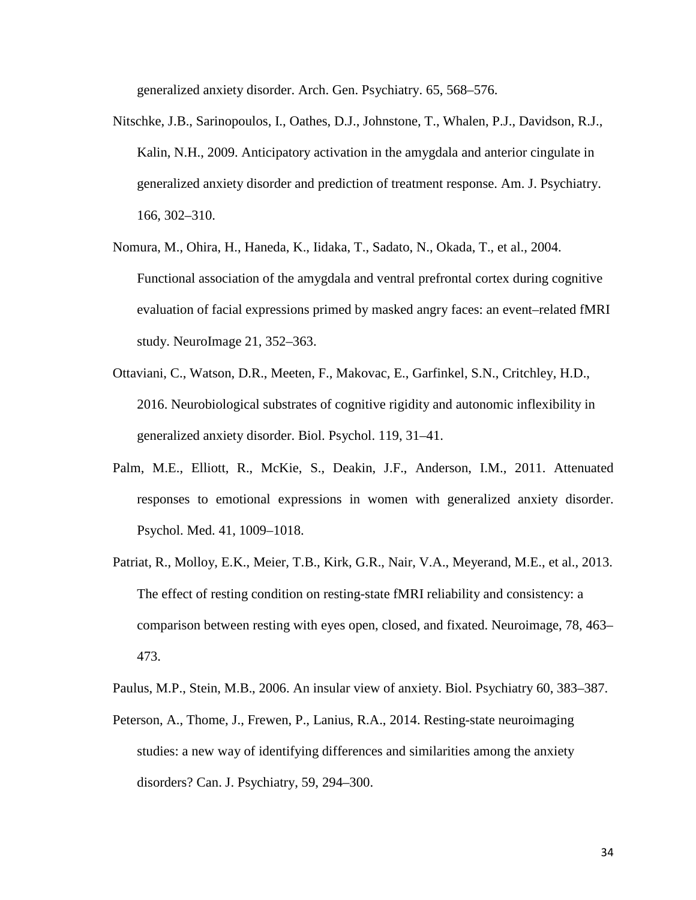generalized anxiety disorder. Arch. Gen. Psychiatry. 65, 568–576.

- Nitschke, J.B., Sarinopoulos, I., Oathes, D.J., Johnstone, T., Whalen, P.J., Davidson, R.J., Kalin, N.H., 2009. Anticipatory activation in the amygdala and anterior cingulate in generalized anxiety disorder and prediction of treatment response. Am. J. Psychiatry. 166, 302–310.
- Nomura, M., Ohira, H., Haneda, K., Iidaka, T., Sadato, N., Okada, T., et al., 2004. Functional association of the amygdala and ventral prefrontal cortex during cognitive evaluation of facial expressions primed by masked angry faces: an event–related fMRI study. NeuroImage 21, 352–363.
- Ottaviani, C., Watson, D.R., Meeten, F., Makovac, E., Garfinkel, S.N., Critchley, H.D., 2016. Neurobiological substrates of cognitive rigidity and autonomic inflexibility in generalized anxiety disorder. Biol. Psychol. 119, 31–41.
- Palm, M.E., Elliott, R., McKie, S., Deakin, J.F., Anderson, I.M., 2011. Attenuated responses to emotional expressions in women with generalized anxiety disorder. Psychol. Med. 41, 1009–1018.
- Patriat, R., Molloy, E.K., Meier, T.B., Kirk, G.R., Nair, V.A., Meyerand, M.E., et al., 2013. The effect of resting condition on resting-state fMRI reliability and consistency: a comparison between resting with eyes open, closed, and fixated. Neuroimage, 78, 463– 473.
- Paulus, M.P., Stein, M.B., 2006. An insular view of anxiety. Biol. Psychiatry 60, 383–387.
- Peterson, A., Thome, J., Frewen, P., Lanius, R.A., 2014. Resting-state neuroimaging studies: a new way of identifying differences and similarities among the anxiety disorders? Can. J. Psychiatry, 59, 294–300.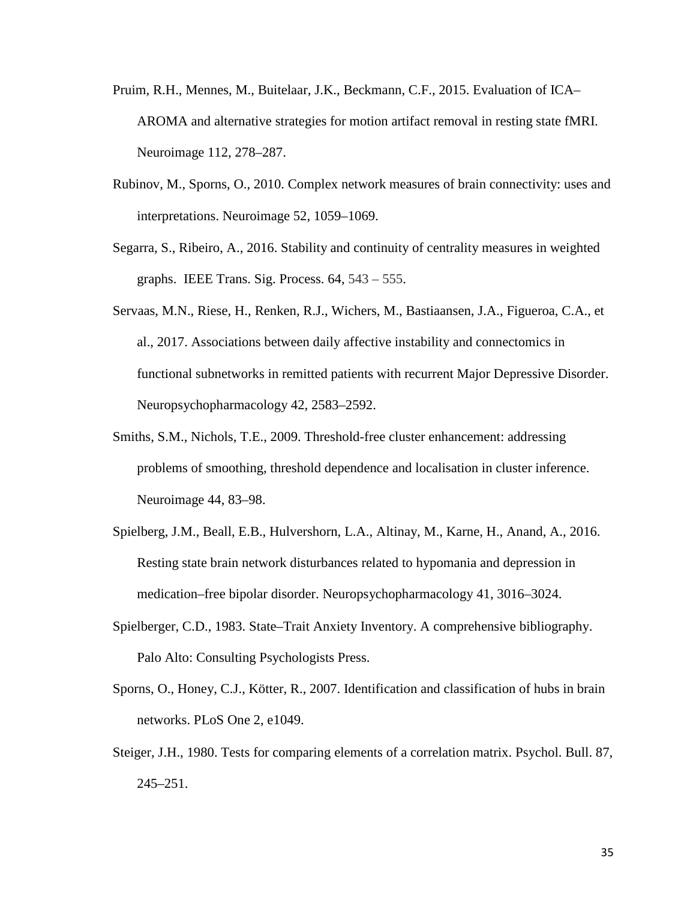- Pruim, R.H., Mennes, M., Buitelaar, J.K., Beckmann, C.F., 2015. Evaluation of ICA– AROMA and alternative strategies for motion artifact removal in resting state fMRI. Neuroimage 112, 278–287.
- Rubinov, M., Sporns, O., 2010. Complex network measures of brain connectivity: uses and interpretations. Neuroimage 52, 1059–1069.
- Segarra, S., Ribeiro, A., 2016. Stability and continuity of centrality measures in weighted graphs. IEEE Trans. Sig. Process. 64, 543 – 555.
- Servaas, M.N., Riese, H., Renken, R.J., Wichers, M., Bastiaansen, J.A., Figueroa, C.A., et al., 2017. Associations between daily affective instability and connectomics in functional subnetworks in remitted patients with recurrent Major Depressive Disorder. Neuropsychopharmacology 42, 2583–2592.
- Smiths, S.M., Nichols, T.E., 2009. Threshold-free cluster enhancement: addressing problems of smoothing, threshold dependence and localisation in cluster inference. Neuroimage 44, 83–98.
- Spielberg, J.M., Beall, E.B., Hulvershorn, L.A., Altinay, M., Karne, H., Anand, A., 2016. Resting state brain network disturbances related to hypomania and depression in medication–free bipolar disorder. Neuropsychopharmacology 41, 3016–3024.
- Spielberger, C.D., 1983. State–Trait Anxiety Inventory. A comprehensive bibliography. Palo Alto: Consulting Psychologists Press.
- Sporns, O., Honey, C.J., Kötter, R., 2007. Identification and classification of hubs in brain networks. PLoS One 2, e1049.
- Steiger, J.H., 1980. Tests for comparing elements of a correlation matrix. Psychol. Bull. 87, 245–251.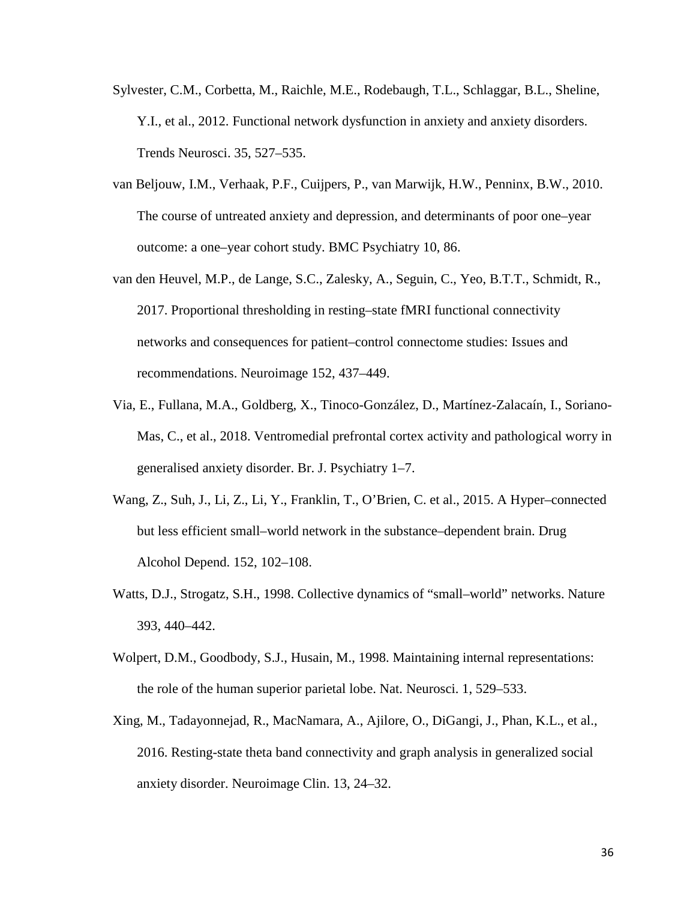- Sylvester, C.M., Corbetta, M., Raichle, M.E., Rodebaugh, T.L., Schlaggar, B.L., Sheline, Y.I., et al., 2012. Functional network dysfunction in anxiety and anxiety disorders. Trends Neurosci. 35, 527–535.
- van Beljouw, I.M., Verhaak, P.F., Cuijpers, P., van Marwijk, H.W., Penninx, B.W., 2010. The course of untreated anxiety and depression, and determinants of poor one–year outcome: a one–year cohort study. BMC Psychiatry 10, 86.
- van den Heuvel, M.P., de Lange, S.C., Zalesky, A., Seguin, C., Yeo, B.T.T., Schmidt, R., 2017. Proportional thresholding in resting–state fMRI functional connectivity networks and consequences for patient–control connectome studies: Issues and recommendations. Neuroimage 152, 437–449.
- Via, E., Fullana, M.A., Goldberg, X., Tinoco-González, D., Martínez-Zalacaín, I., Soriano-Mas, C., et al., 2018. Ventromedial prefrontal cortex activity and pathological worry in generalised anxiety disorder. Br. J. Psychiatry 1–7.
- Wang, Z., Suh, J., Li, Z., Li, Y., Franklin, T., O'Brien, C. et al., 2015. A Hyper–connected but less efficient small–world network in the substance–dependent brain. Drug Alcohol Depend. 152, 102–108.
- Watts, D.J., Strogatz, S.H., 1998. Collective dynamics of "small–world" networks. Nature 393, 440–442.
- Wolpert, D.M., Goodbody, S.J., Husain, M., 1998. Maintaining internal representations: the role of the human superior parietal lobe. Nat. Neurosci. 1, 529–533.
- Xing, M., Tadayonnejad, R., MacNamara, A., Ajilore, O., DiGangi, J., Phan, K.L., et al., 2016. Resting-state theta band connectivity and graph analysis in generalized social anxiety disorder. Neuroimage Clin. 13, 24–32.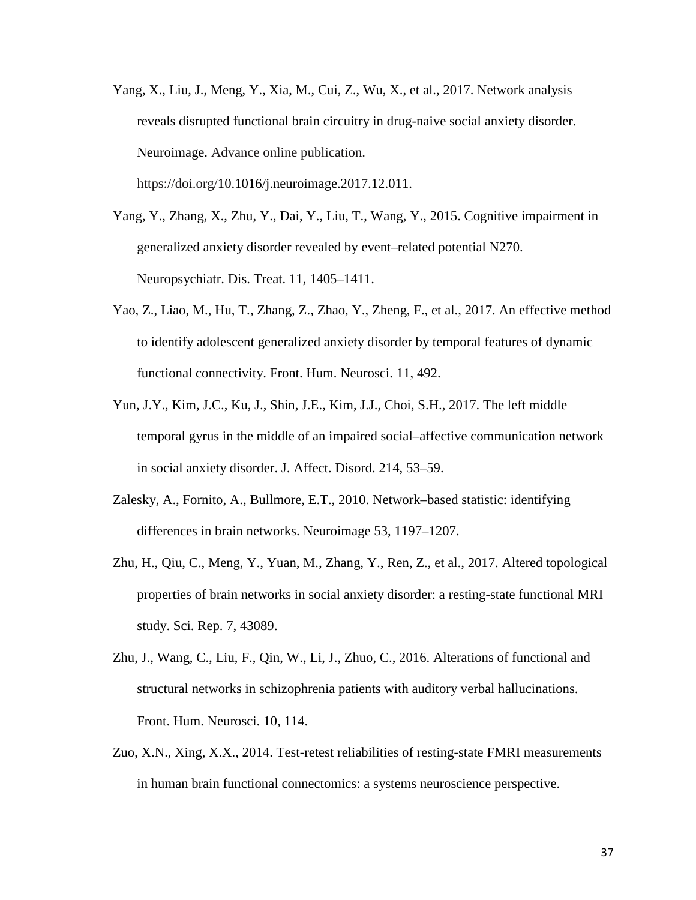Yang, X., Liu, J., Meng, Y., Xia, M., Cui, Z., Wu, X., et al., 2017. Network analysis reveals disrupted functional brain circuitry in drug-naive social anxiety disorder. Neuroimage. Advance online publication.

https://doi.org/10.1016/j.neuroimage.2017.12.011.

- Yang, Y., Zhang, X., Zhu, Y., Dai, Y., Liu, T., Wang, Y., 2015. Cognitive impairment in generalized anxiety disorder revealed by event–related potential N270. Neuropsychiatr. Dis. Treat. 11, 1405–1411.
- Yao, Z., Liao, M., Hu, T., Zhang, Z., Zhao, Y., Zheng, F., et al., 2017. An effective method to identify adolescent generalized anxiety disorder by temporal features of dynamic functional connectivity. Front. Hum. Neurosci. 11, 492.
- Yun, J.Y., Kim, J.C., Ku, J., Shin, J.E., Kim, J.J., Choi, S.H., 2017. The left middle temporal gyrus in the middle of an impaired social–affective communication network in social anxiety disorder. J. Affect. Disord. 214, 53–59.
- Zalesky, A., Fornito, A., Bullmore, E.T., 2010. Network–based statistic: identifying differences in brain networks. Neuroimage 53, 1197–1207.
- Zhu, H., Qiu, C., Meng, Y., Yuan, M., Zhang, Y., Ren, Z., et al., 2017. Altered topological properties of brain networks in social anxiety disorder: a resting-state functional MRI study. Sci. Rep. 7, 43089.
- Zhu, J., Wang, C., Liu, F., Qin, W., Li, J., Zhuo, C., 2016. Alterations of functional and structural networks in schizophrenia patients with auditory verbal hallucinations. Front. Hum. Neurosci. 10, 114.
- Zuo, X.N., Xing, X.X., 2014. Test-retest reliabilities of resting-state FMRI measurements in human brain functional connectomics: a systems neuroscience perspective.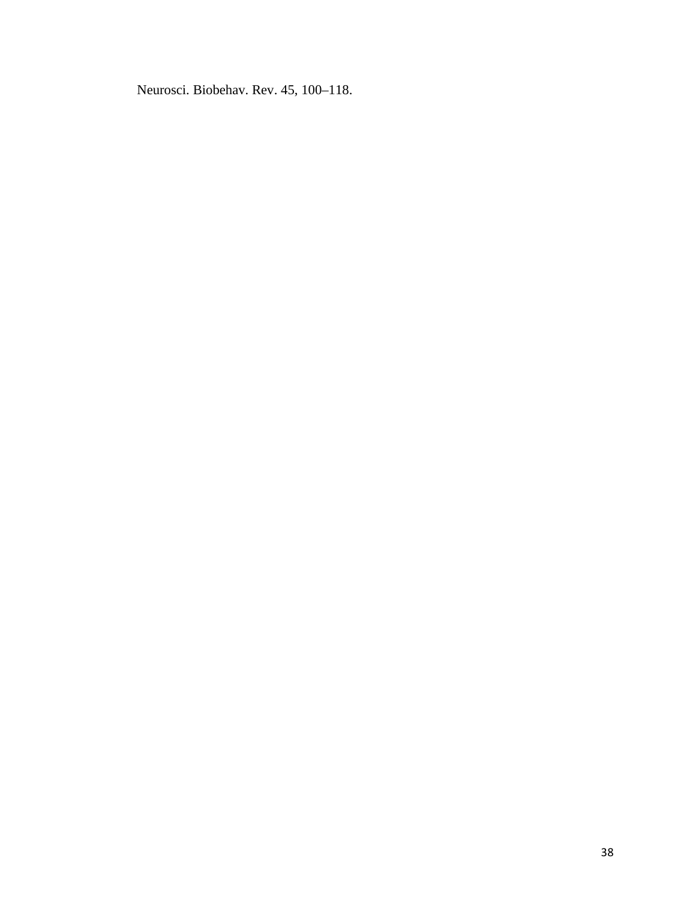Neurosci. Biobehav. Rev. 45, 100–118.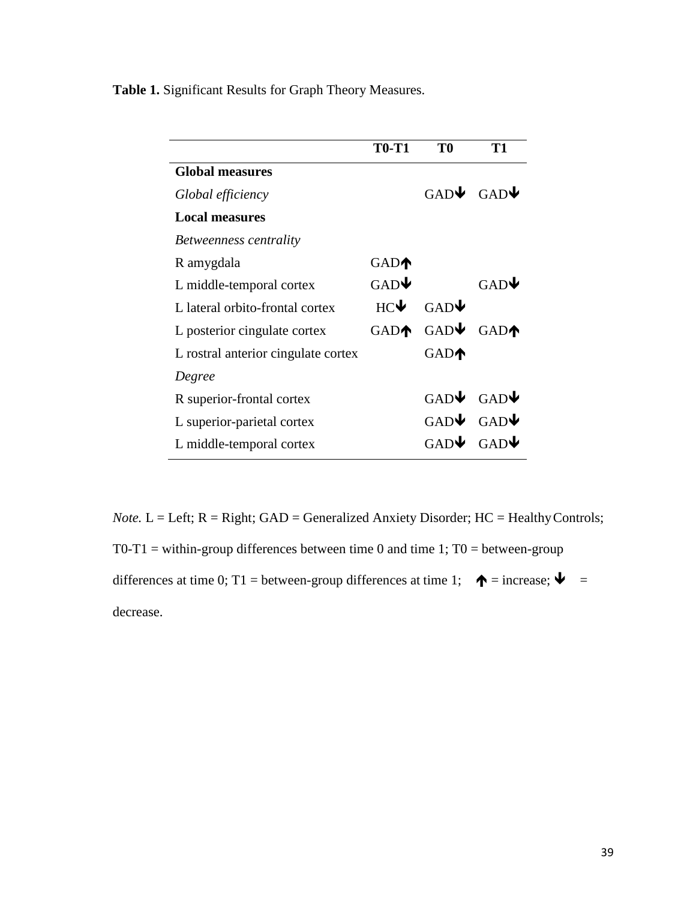**Table 1.** Significant Results for Graph Theory Measures.

|                                     | <b>T0-T1</b>             | T0                                                | T1                       |
|-------------------------------------|--------------------------|---------------------------------------------------|--------------------------|
| <b>Global measures</b>              |                          |                                                   |                          |
| Global efficiency                   |                          | $GAD\blacktriangleright$ $GAD\blacktriangleright$ |                          |
| <b>Local measures</b>               |                          |                                                   |                          |
| <b>Betweenness centrality</b>       |                          |                                                   |                          |
| R amygdala                          | <b>GAD个</b>              |                                                   |                          |
| L middle-temporal cortex            | $GAD\blacktriangleright$ |                                                   | GAD                      |
| L lateral orbito-frontal cortex     | $HC\blacktriangleright$  | GAD                                               |                          |
| L posterior cingulate cortex        |                          | GADA GAD $\blacklozenge$ GADA                     |                          |
| L rostral anterior cingulate cortex |                          | <b>GADA</b>                                       |                          |
| Degree                              |                          |                                                   |                          |
| R superior-frontal cortex           |                          | $GAD\blacktriangleright$ $GAD\blacktriangleright$ |                          |
| L superior-parietal cortex          |                          | $GAD\blacktriangleright$ $GAD\blacktriangleright$ |                          |
| L middle-temporal cortex            |                          | $GAD\blacktriangleright$                          | $GAD\blacktriangleright$ |

*Note.* L = Left; R = Right; GAD = Generalized Anxiety Disorder; HC = Healthy Controls;  $T0-T1 =$  within-group differences between time 0 and time 1;  $T0 =$  between-group differences at time 0; T1 = between-group differences at time 1;  $\bf{\hat{P}}$  = increase;  $\bf{\hat{V}}$  = decrease.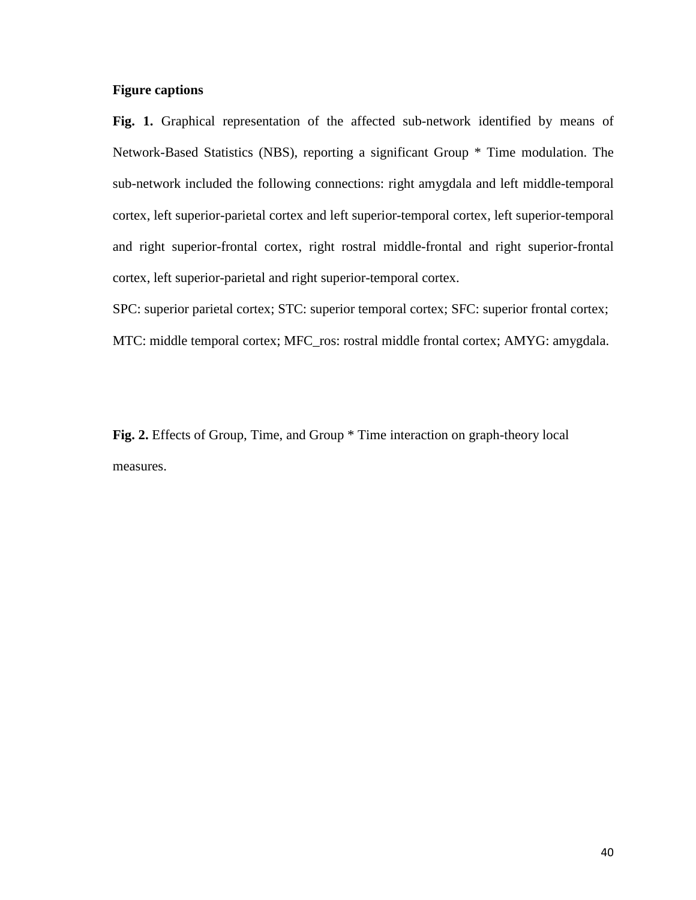# **Figure captions**

Fig. 1. Graphical representation of the affected sub-network identified by means of Network-Based Statistics (NBS), reporting a significant Group \* Time modulation. The sub-network included the following connections: right amygdala and left middle-temporal cortex, left superior-parietal cortex and left superior-temporal cortex, left superior-temporal and right superior-frontal cortex, right rostral middle-frontal and right superior-frontal cortex, left superior-parietal and right superior-temporal cortex.

SPC: superior parietal cortex; STC: superior temporal cortex; SFC: superior frontal cortex; MTC: middle temporal cortex; MFC\_ros: rostral middle frontal cortex; AMYG: amygdala.

**Fig. 2.** Effects of Group, Time, and Group \* Time interaction on graph-theory local measures.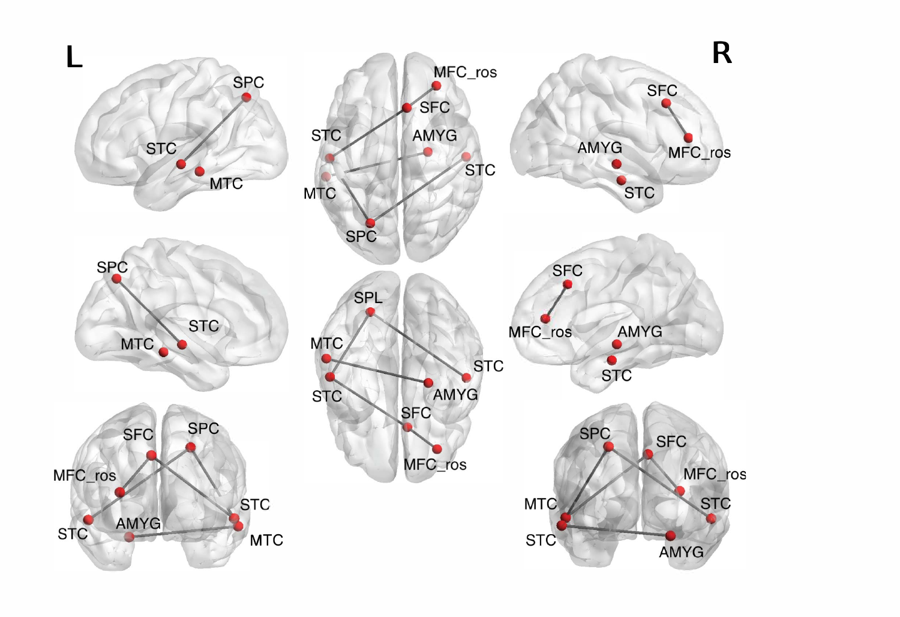